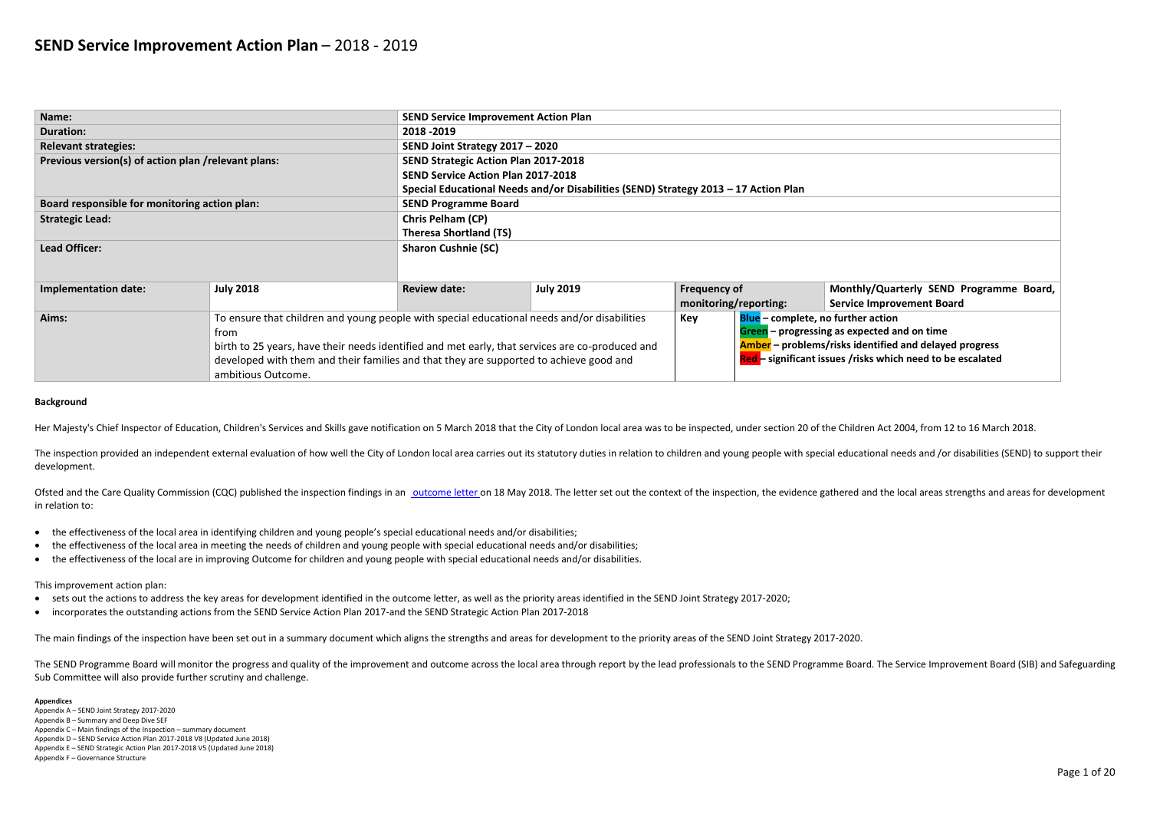| Name:                                                |                  | <b>SEND Service Improvement Action Plan</b> |                                                                                                                                          |                     |                                                        |                                               |  |  |  |
|------------------------------------------------------|------------------|---------------------------------------------|------------------------------------------------------------------------------------------------------------------------------------------|---------------------|--------------------------------------------------------|-----------------------------------------------|--|--|--|
| <b>Duration:</b>                                     |                  | 2018 - 2019                                 |                                                                                                                                          |                     |                                                        |                                               |  |  |  |
| <b>Relevant strategies:</b>                          |                  | SEND Joint Strategy 2017 - 2020             |                                                                                                                                          |                     |                                                        |                                               |  |  |  |
| Previous version(s) of action plan / relevant plans: |                  | <b>SEND Strategic Action Plan 2017-2018</b> |                                                                                                                                          |                     |                                                        |                                               |  |  |  |
|                                                      |                  |                                             | <b>SEND Service Action Plan 2017-2018</b>                                                                                                |                     |                                                        |                                               |  |  |  |
|                                                      |                  |                                             | Special Educational Needs and/or Disabilities (SEND) Strategy 2013 - 17 Action Plan                                                      |                     |                                                        |                                               |  |  |  |
| Board responsible for monitoring action plan:        |                  | <b>SEND Programme Board</b>                 |                                                                                                                                          |                     |                                                        |                                               |  |  |  |
| <b>Strategic Lead:</b>                               |                  | <b>Chris Pelham (CP)</b>                    |                                                                                                                                          |                     |                                                        |                                               |  |  |  |
|                                                      |                  |                                             | <b>Theresa Shortland (TS)</b>                                                                                                            |                     |                                                        |                                               |  |  |  |
| <b>Lead Officer:</b>                                 |                  | <b>Sharon Cushnie (SC)</b>                  |                                                                                                                                          |                     |                                                        |                                               |  |  |  |
|                                                      |                  |                                             |                                                                                                                                          |                     |                                                        |                                               |  |  |  |
|                                                      |                  |                                             |                                                                                                                                          |                     |                                                        |                                               |  |  |  |
| <b>Implementation date:</b>                          | <b>July 2018</b> | <b>Review date:</b>                         | <b>July 2019</b>                                                                                                                         | <b>Frequency of</b> |                                                        | Monthly/Quarterly SEN                         |  |  |  |
|                                                      |                  |                                             |                                                                                                                                          |                     | monitoring/reporting:<br><b>Service Improvement Bo</b> |                                               |  |  |  |
| Aims:                                                |                  |                                             | To ensure that children and young people with special educational needs and/or disabilities<br>Blue - complete, no further action<br>Key |                     |                                                        |                                               |  |  |  |
|                                                      | from             |                                             |                                                                                                                                          |                     |                                                        | Green $-$ progressing as expected and on time |  |  |  |

The inspection provided an independent external evaluation of how well the City of London local area carries out its statutory duties in relation to children and young people with special educational needs and /or disabili development.

| <b>Trom</b>                                                                                           | <b>Green</b> – progressing as expe   |
|-------------------------------------------------------------------------------------------------------|--------------------------------------|
| $\pm$ birth to 25 years, have their needs identified and met early, that services are co-produced and | Amber - problems/risks ider          |
| developed with them and their families and that they are supported to achieve good and                | <b>Red-</b> significant issues /risk |
| ambitious Outcome.                                                                                    |                                      |
|                                                                                                       |                                      |

| .7 Action Plan                            |                                                               |
|-------------------------------------------|---------------------------------------------------------------|
|                                           |                                                               |
|                                           |                                                               |
|                                           |                                                               |
|                                           |                                                               |
|                                           |                                                               |
|                                           |                                                               |
|                                           | Monthly/Quarterly SEND Programme Board,                       |
| reporting:                                | <b>Service Improvement Board</b>                              |
| <b>Blue</b> – complete, no further action |                                                               |
|                                           | Green - progressing as expected and on time                   |
|                                           | <b>Amber</b> – problems/risks identified and delayed progress |
|                                           | Red - significant issues /risks which need to be escalated    |
|                                           |                                                               |

Ofsted and the Care Quality Commission (CQC) published the inspection findings in an [outcome letter o](https://reports.ofsted.gov.uk/local-autho)n 18 May 2018. The letter set out the context of the inspection, the evidence gathered and the local areas strengths and in relation to:

### **Background**

Her Majesty's Chief Inspector of Education, Children's Services and Skills gave notification on 5 March 2018 that the City of London local area was to be inspected, under section 20 of the Children Act 2004, from 12 to 16

The SEND Programme Board will monitor the progress and quality of the improvement and outcome across the local area through report by the lead professionals to the SEND Programme Board. The Service Improvement Board (SIB) Sub Committee will also provide further scrutiny and challenge.

- the effectiveness of the local area in identifying children and young people's special educational needs and/or disabilities;
- the effectiveness of the local area in meeting the needs of children and young people with special educational needs and/or disabilities;
- the effectiveness of the local are in improving Outcome for children and young people with special educational needs and/or disabilities.

### This improvement action plan:

- sets out the actions to address the key areas for development identified in the outcome letter, as well as the priority areas identified in the SEND Joint Strategy 2017-2020;
- incorporates the outstanding actions from the SEND Service Action Plan 2017-and the SEND Strategic Action Plan 2017-2018

The main findings of the inspection have been set out in a summary document which aligns the strengths and areas for development to the priority areas of the SEND Joint Strategy 2017-2020.

### **Appendices**

- Appendix A SEND Joint Strategy 2017-2020
- Appendix B Summary and Deep Dive SEF
- Appendix C Main findings of the Inspection summary document Appendix D – SEND Service Action Plan 2017-2018 V8 (Updated June 2018)
- Appendix E SEND Strategic Action Plan 2017-2018 V5 (Updated June 2018)
- Appendix F Governance Structure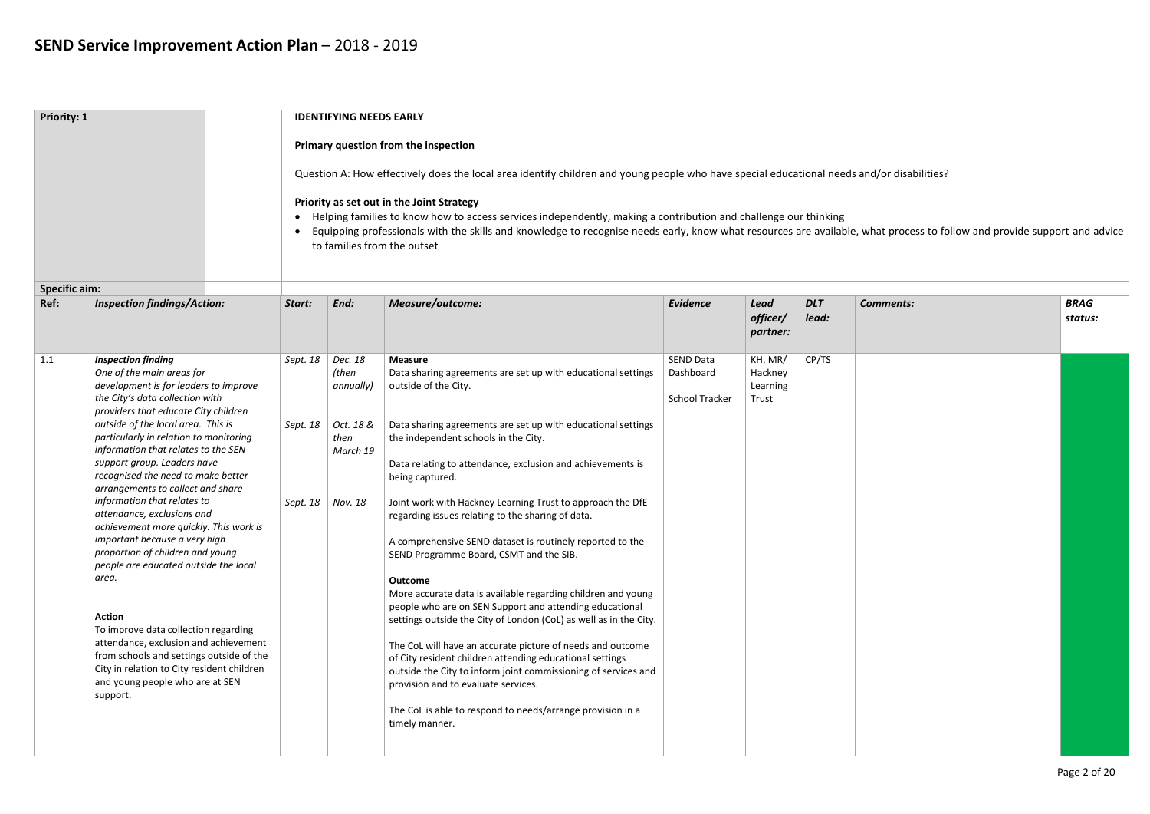| <b>Priority: 1</b>   |                                                                                        |           | <b>IDENTIFYING NEEDS EARLY</b>                                                                                                             |                                                                                                                                                                                                                                                                                                                              |                       |                                     |                     |                  |                        |  |  |  |  |
|----------------------|----------------------------------------------------------------------------------------|-----------|--------------------------------------------------------------------------------------------------------------------------------------------|------------------------------------------------------------------------------------------------------------------------------------------------------------------------------------------------------------------------------------------------------------------------------------------------------------------------------|-----------------------|-------------------------------------|---------------------|------------------|------------------------|--|--|--|--|
|                      |                                                                                        |           |                                                                                                                                            | Primary question from the inspection                                                                                                                                                                                                                                                                                         |                       |                                     |                     |                  |                        |  |  |  |  |
|                      |                                                                                        |           | Question A: How effectively does the local area identify children and young people who have special educational needs and/or disabilities? |                                                                                                                                                                                                                                                                                                                              |                       |                                     |                     |                  |                        |  |  |  |  |
|                      |                                                                                        |           | Priority as set out in the Joint Strategy                                                                                                  |                                                                                                                                                                                                                                                                                                                              |                       |                                     |                     |                  |                        |  |  |  |  |
|                      |                                                                                        | $\bullet$ |                                                                                                                                            | • Helping families to know how to access services independently, making a contribution and challenge our thinking<br>Equipping professionals with the skills and knowledge to recognise needs early, know what resources are available, what process to follow and provide support and advice<br>to families from the outset |                       |                                     |                     |                  |                        |  |  |  |  |
| <b>Specific aim:</b> |                                                                                        |           |                                                                                                                                            |                                                                                                                                                                                                                                                                                                                              |                       |                                     |                     |                  |                        |  |  |  |  |
| Ref:                 | <b>Inspection findings/Action:</b>                                                     | Start:    | End:                                                                                                                                       | <b>Measure/outcome:</b>                                                                                                                                                                                                                                                                                                      | <b>Evidence</b>       | <b>Lead</b><br>officer/<br>partner: | <b>DLT</b><br>lead: | <b>Comments:</b> | <b>BRAG</b><br>status: |  |  |  |  |
| 1.1                  | <b>Inspection finding</b>                                                              | Sept. 18  | $\vert$ Dec. 18                                                                                                                            | <b>Measure</b>                                                                                                                                                                                                                                                                                                               | <b>SEND Data</b>      | KH, MR/                             | CP/TS               |                  |                        |  |  |  |  |
|                      | One of the main areas for                                                              |           | (then                                                                                                                                      | Data sharing agreements are set up with educational settings                                                                                                                                                                                                                                                                 | Dashboard             | Hackney                             |                     |                  |                        |  |  |  |  |
|                      | development is for leaders to improve<br>the City's data collection with               |           | annually)                                                                                                                                  | outside of the City.                                                                                                                                                                                                                                                                                                         | <b>School Tracker</b> | Learning<br>Trust                   |                     |                  |                        |  |  |  |  |
|                      | providers that educate City children                                                   |           |                                                                                                                                            |                                                                                                                                                                                                                                                                                                                              |                       |                                     |                     |                  |                        |  |  |  |  |
|                      | outside of the local area. This is<br>Sept. 18                                         |           | Oct. 18 &                                                                                                                                  | Data sharing agreements are set up with educational settings                                                                                                                                                                                                                                                                 |                       |                                     |                     |                  |                        |  |  |  |  |
|                      | particularly in relation to monitoring                                                 |           | then                                                                                                                                       | the independent schools in the City.                                                                                                                                                                                                                                                                                         |                       |                                     |                     |                  |                        |  |  |  |  |
|                      | information that relates to the SEN<br>support group. Leaders have                     |           | March 19                                                                                                                                   | Data relating to attendance, exclusion and achievements is                                                                                                                                                                                                                                                                   |                       |                                     |                     |                  |                        |  |  |  |  |
|                      | recognised the need to make better                                                     |           |                                                                                                                                            | being captured.                                                                                                                                                                                                                                                                                                              |                       |                                     |                     |                  |                        |  |  |  |  |
|                      | arrangements to collect and share                                                      |           |                                                                                                                                            |                                                                                                                                                                                                                                                                                                                              |                       |                                     |                     |                  |                        |  |  |  |  |
|                      | information that relates to<br>attendance, exclusions and                              | Sept. 18  | Nov. 18                                                                                                                                    | Joint work with Hackney Learning Trust to approach the DfE                                                                                                                                                                                                                                                                   |                       |                                     |                     |                  |                        |  |  |  |  |
|                      | achievement more quickly. This work is                                                 |           |                                                                                                                                            | regarding issues relating to the sharing of data.                                                                                                                                                                                                                                                                            |                       |                                     |                     |                  |                        |  |  |  |  |
|                      | important because a very high                                                          |           |                                                                                                                                            | A comprehensive SEND dataset is routinely reported to the                                                                                                                                                                                                                                                                    |                       |                                     |                     |                  |                        |  |  |  |  |
|                      | proportion of children and young<br>people are educated outside the local              |           |                                                                                                                                            | SEND Programme Board, CSMT and the SIB.                                                                                                                                                                                                                                                                                      |                       |                                     |                     |                  |                        |  |  |  |  |
|                      | area.                                                                                  |           |                                                                                                                                            | Outcome                                                                                                                                                                                                                                                                                                                      |                       |                                     |                     |                  |                        |  |  |  |  |
|                      |                                                                                        |           |                                                                                                                                            | More accurate data is available regarding children and young                                                                                                                                                                                                                                                                 |                       |                                     |                     |                  |                        |  |  |  |  |
|                      | <b>Action</b>                                                                          |           |                                                                                                                                            | people who are on SEN Support and attending educational<br>settings outside the City of London (CoL) as well as in the City.                                                                                                                                                                                                 |                       |                                     |                     |                  |                        |  |  |  |  |
|                      | To improve data collection regarding                                                   |           |                                                                                                                                            |                                                                                                                                                                                                                                                                                                                              |                       |                                     |                     |                  |                        |  |  |  |  |
|                      | attendance, exclusion and achievement                                                  |           |                                                                                                                                            | The CoL will have an accurate picture of needs and outcome                                                                                                                                                                                                                                                                   |                       |                                     |                     |                  |                        |  |  |  |  |
|                      | from schools and settings outside of the<br>City in relation to City resident children |           |                                                                                                                                            | of City resident children attending educational settings                                                                                                                                                                                                                                                                     |                       |                                     |                     |                  |                        |  |  |  |  |
|                      | and young people who are at SEN                                                        |           |                                                                                                                                            | outside the City to inform joint commissioning of services and<br>provision and to evaluate services.                                                                                                                                                                                                                        |                       |                                     |                     |                  |                        |  |  |  |  |
|                      | support.                                                                               |           |                                                                                                                                            |                                                                                                                                                                                                                                                                                                                              |                       |                                     |                     |                  |                        |  |  |  |  |
|                      |                                                                                        |           |                                                                                                                                            | The CoL is able to respond to needs/arrange provision in a<br>timely manner.                                                                                                                                                                                                                                                 |                       |                                     |                     |                  |                        |  |  |  |  |
|                      |                                                                                        |           |                                                                                                                                            |                                                                                                                                                                                                                                                                                                                              |                       |                                     |                     |                  |                        |  |  |  |  |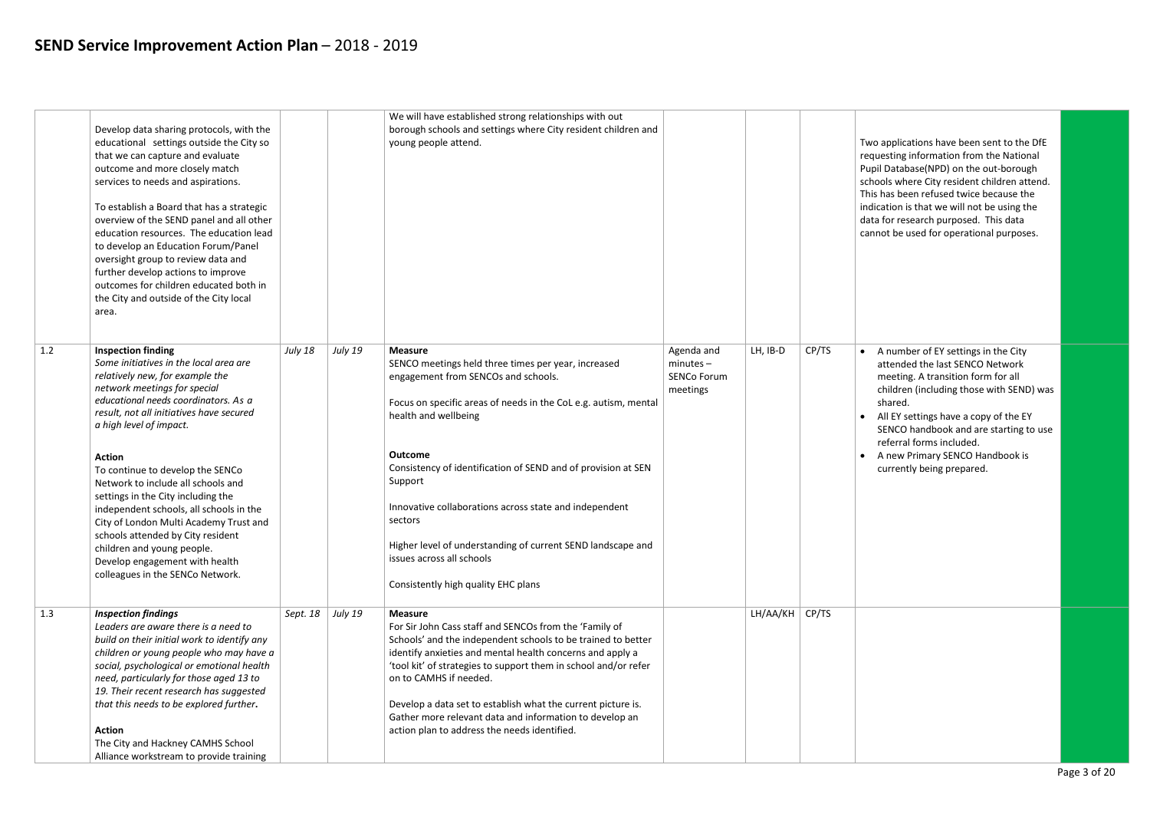A number of EY settings in the City attended the last SENCO Network meeting. A transition form for all children (including those with SEND) was shared.

All EY settings have a copy of the EY SENCO handbook and are starting to use referral forms included.

|     | Develop data sharing protocols, with the<br>educational settings outside the City so<br>that we can capture and evaluate<br>outcome and more closely match<br>services to needs and aspirations.<br>To establish a Board that has a strategic<br>overview of the SEND panel and all other<br>education resources. The education lead<br>to develop an Education Forum/Panel<br>oversight group to review data and<br>further develop actions to improve<br>outcomes for children educated both in<br>the City and outside of the City local<br>area.                                                                 |          |         | We will have established strong relationships with out<br>borough schools and settings where City resident children and<br>young people attend.                                                                                                                                                                                                                                                                                                                                                               |                                                             |          |       |  |
|-----|----------------------------------------------------------------------------------------------------------------------------------------------------------------------------------------------------------------------------------------------------------------------------------------------------------------------------------------------------------------------------------------------------------------------------------------------------------------------------------------------------------------------------------------------------------------------------------------------------------------------|----------|---------|---------------------------------------------------------------------------------------------------------------------------------------------------------------------------------------------------------------------------------------------------------------------------------------------------------------------------------------------------------------------------------------------------------------------------------------------------------------------------------------------------------------|-------------------------------------------------------------|----------|-------|--|
| 1.2 | <b>Inspection finding</b><br>Some initiatives in the local area are<br>relatively new, for example the<br>network meetings for special<br>educational needs coordinators. As a<br>result, not all initiatives have secured<br>a high level of impact.<br><b>Action</b><br>To continue to develop the SENCo<br>Network to include all schools and<br>settings in the City including the<br>independent schools, all schools in the<br>City of London Multi Academy Trust and<br>schools attended by City resident<br>children and young people.<br>Develop engagement with health<br>colleagues in the SENCo Network. | July 18  | July 19 | <b>Measure</b><br>SENCO meetings held three times per year, increased<br>engagement from SENCOs and schools.<br>Focus on specific areas of needs in the CoL e.g. autism, mental<br>health and wellbeing<br><b>Outcome</b><br>Consistency of identification of SEND and of provision at SEN<br>Support<br>Innovative collaborations across state and independent<br>sectors<br>Higher level of understanding of current SEND landscape and<br>issues across all schools<br>Consistently high quality EHC plans | Agenda and<br>$minutes -$<br><b>SENCo Forum</b><br>meetings | LH, IB-D | CP/TS |  |
| 1.3 | <b>Inspection findings</b><br>Leaders are aware there is a need to<br>build on their initial work to identify any<br>children or young people who may have a<br>social, psychological or emotional health<br>need, particularly for those aged 13 to<br>19. Their recent research has suggested<br>that this needs to be explored further.<br><b>Action</b><br>The City and Hackney CAMHS School<br>Alliance workstream to provide training                                                                                                                                                                          | Sept. 18 | July 19 | <b>Measure</b><br>For Sir John Cass staff and SENCOs from the 'Family of<br>Schools' and the independent schools to be trained to better<br>identify anxieties and mental health concerns and apply a<br>'tool kit' of strategies to support them in school and/or refer<br>on to CAMHS if needed.<br>Develop a data set to establish what the current picture is.<br>Gather more relevant data and information to develop an<br>action plan to address the needs identified.                                 |                                                             | LH/AA/KH | CP/TS |  |

wo applications have been sent to the DfE equesting information from the National Pupil Database(NPD) on the out-borough chools where City resident children attend. his has been refused twice because the ndication is that we will not be using the lata for research purposed. This data annot be used for operational purposes.

• A new Primary SENCO Handbook is currently being prepared.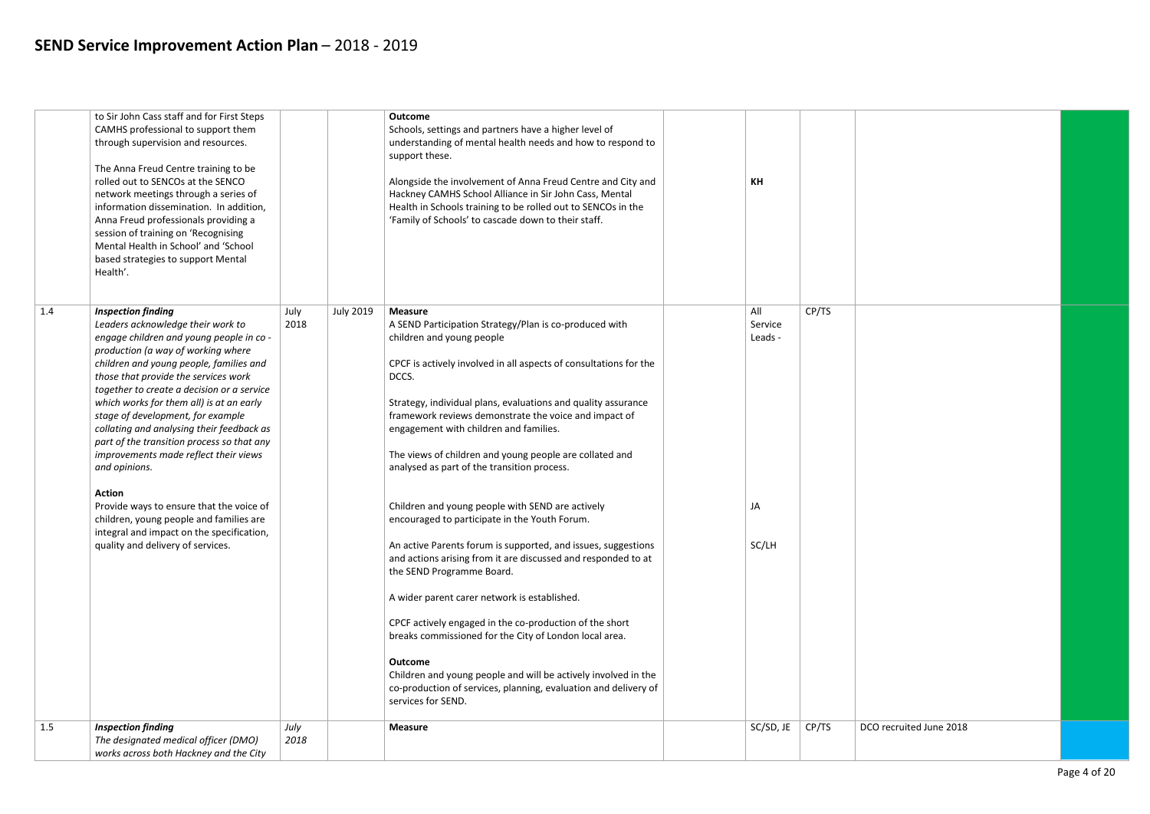|     | to Sir John Cass staff and for First Steps<br>CAMHS professional to support them<br>through supervision and resources.<br>The Anna Freud Centre training to be<br>rolled out to SENCOs at the SENCO<br>network meetings through a series of<br>information dissemination. In addition,<br>Anna Freud professionals providing a<br>session of training on 'Recognising<br>Mental Health in School' and 'School<br>based strategies to support Mental<br>Health'.                                                                                                                                                                                                                                                   |              |                  | <b>Outcome</b><br>Schools, settings and partners have a higher level of<br>understanding of mental health needs and how to respond to<br>support these.<br>Alongside the involvement of Anna Freud Centre and City and<br>Hackney CAMHS School Alliance in Sir John Cass, Mental<br>Health in Schools training to be rolled out to SENCOs in the<br>'Family of Schools' to cascade down to their staff.                                                                                                                                                                                                                                                                                                                                                                                                                                                                                                                                                                                                                                                           | KH                                       |       |  |
|-----|-------------------------------------------------------------------------------------------------------------------------------------------------------------------------------------------------------------------------------------------------------------------------------------------------------------------------------------------------------------------------------------------------------------------------------------------------------------------------------------------------------------------------------------------------------------------------------------------------------------------------------------------------------------------------------------------------------------------|--------------|------------------|-------------------------------------------------------------------------------------------------------------------------------------------------------------------------------------------------------------------------------------------------------------------------------------------------------------------------------------------------------------------------------------------------------------------------------------------------------------------------------------------------------------------------------------------------------------------------------------------------------------------------------------------------------------------------------------------------------------------------------------------------------------------------------------------------------------------------------------------------------------------------------------------------------------------------------------------------------------------------------------------------------------------------------------------------------------------|------------------------------------------|-------|--|
| 1.4 | <b>Inspection finding</b><br>Leaders acknowledge their work to<br>engage children and young people in co -<br>production (a way of working where<br>children and young people, families and<br>those that provide the services work<br>together to create a decision or a service<br>which works for them all) is at an early<br>stage of development, for example<br>collating and analysing their feedback as<br>part of the transition process so that any<br>improvements made reflect their views<br>and opinions.<br><b>Action</b><br>Provide ways to ensure that the voice of<br>children, young people and families are<br>integral and impact on the specification,<br>quality and delivery of services. | July<br>2018 | <b>July 2019</b> | <b>Measure</b><br>A SEND Participation Strategy/Plan is co-produced with<br>children and young people<br>CPCF is actively involved in all aspects of consultations for the<br>DCCS.<br>Strategy, individual plans, evaluations and quality assurance<br>framework reviews demonstrate the voice and impact of<br>engagement with children and families.<br>The views of children and young people are collated and<br>analysed as part of the transition process.<br>Children and young people with SEND are actively<br>encouraged to participate in the Youth Forum.<br>An active Parents forum is supported, and issues, suggestions<br>and actions arising from it are discussed and responded to at<br>the SEND Programme Board.<br>A wider parent carer network is established.<br>CPCF actively engaged in the co-production of the short<br>breaks commissioned for the City of London local area.<br><b>Outcome</b><br>Children and young people and will be actively involved in the<br>co-production of services, planning, evaluation and delivery of | All<br>Service<br>Leads -<br>JA<br>SC/LH | CP/TS |  |
|     |                                                                                                                                                                                                                                                                                                                                                                                                                                                                                                                                                                                                                                                                                                                   |              |                  | services for SEND.                                                                                                                                                                                                                                                                                                                                                                                                                                                                                                                                                                                                                                                                                                                                                                                                                                                                                                                                                                                                                                                |                                          |       |  |
| 1.5 | <b>Inspection finding</b><br>The designated medical officer (DMO)<br>works across both Hackney and the City                                                                                                                                                                                                                                                                                                                                                                                                                                                                                                                                                                                                       | July<br>2018 |                  | <b>Measure</b>                                                                                                                                                                                                                                                                                                                                                                                                                                                                                                                                                                                                                                                                                                                                                                                                                                                                                                                                                                                                                                                    | SC/SD, JE                                | CP/TS |  |

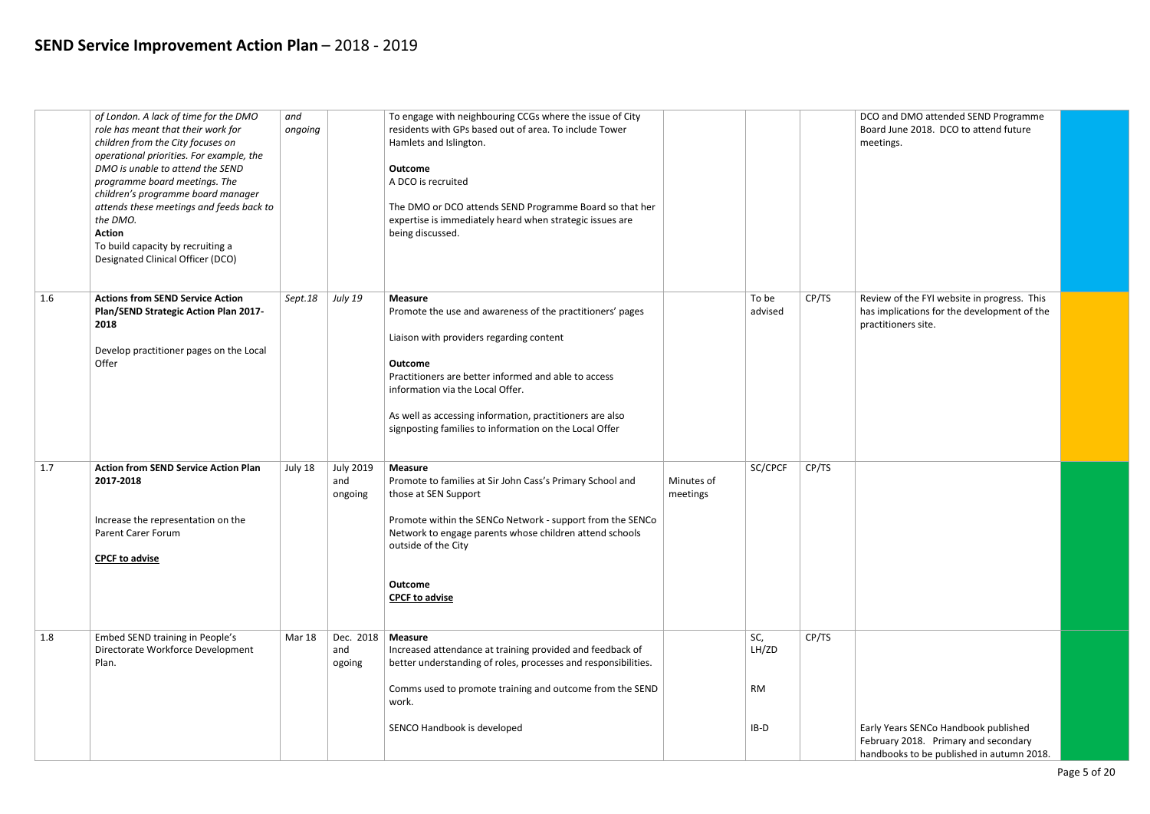|     | of London. A lack of time for the DMO<br>role has meant that their work for<br>children from the City focuses on<br>operational priorities. For example, the<br>DMO is unable to attend the SEND<br>programme board meetings. The<br>children's programme board manager<br>attends these meetings and feeds back to<br>the DMO.<br><b>Action</b><br>To build capacity by recruiting a<br>Designated Clinical Officer (DCO) | and<br>ongoing |                                    | To engage with neighbouring CCGs where the issue of City<br>residents with GPs based out of area. To include Tower<br>Hamlets and Islington.<br><b>Outcome</b><br>A DCO is recruited<br>The DMO or DCO attends SEND Programme Board so that her<br>expertise is immediately heard when strategic issues are<br>being discussed.                             |                        |                                     |       | D)<br>B<br>m   |
|-----|----------------------------------------------------------------------------------------------------------------------------------------------------------------------------------------------------------------------------------------------------------------------------------------------------------------------------------------------------------------------------------------------------------------------------|----------------|------------------------------------|-------------------------------------------------------------------------------------------------------------------------------------------------------------------------------------------------------------------------------------------------------------------------------------------------------------------------------------------------------------|------------------------|-------------------------------------|-------|----------------|
| 1.6 | <b>Actions from SEND Service Action</b><br>Plan/SEND Strategic Action Plan 2017-<br>2018<br>Develop practitioner pages on the Local<br>Offer                                                                                                                                                                                                                                                                               | Sept.18        | <b>July 19</b>                     | <b>Measure</b><br>Promote the use and awareness of the practitioners' pages<br>Liaison with providers regarding content<br><b>Outcome</b><br>Practitioners are better informed and able to access<br>information via the Local Offer.<br>As well as accessing information, practitioners are also<br>signposting families to information on the Local Offer |                        | To be<br>advised                    | CP/TS | R6<br>ha<br>pr |
| 1.7 | <b>Action from SEND Service Action Plan</b><br>2017-2018<br>Increase the representation on the<br><b>Parent Carer Forum</b><br><b>CPCF to advise</b>                                                                                                                                                                                                                                                                       | July 18        | <b>July 2019</b><br>and<br>ongoing | <b>Measure</b><br>Promote to families at Sir John Cass's Primary School and<br>those at SEN Support<br>Promote within the SENCo Network - support from the SENCo<br>Network to engage parents whose children attend schools<br>outside of the City<br><b>Outcome</b><br><b>CPCF to advise</b>                                                               | Minutes of<br>meetings | SC/CPCF                             | CP/TS |                |
| 1.8 | Embed SEND training in People's<br>Directorate Workforce Development<br>Plan.                                                                                                                                                                                                                                                                                                                                              | Mar 18         | Dec. 2018<br>and<br>ogoing         | <b>Measure</b><br>Increased attendance at training provided and feedback of<br>better understanding of roles, processes and responsibilities.<br>Comms used to promote training and outcome from the SEND<br>work.<br>SENCO Handbook is developed                                                                                                           |                        | SC,<br>LH/ZD<br><b>RM</b><br>$IB-D$ | CP/TS | Ea<br>Fe<br>ha |

|       | DCO and DMO attended SEND Programme<br>Board June 2018. DCO to attend future<br>meetings.                                 |  |
|-------|---------------------------------------------------------------------------------------------------------------------------|--|
| CP/TS | Review of the FYI website in progress. This<br>has implications for the development of the<br>practitioners site.         |  |
| CP/TS |                                                                                                                           |  |
| CP/TS | Early Years SENCo Handbook published<br>February 2018. Primary and secondary<br>handbooks to be published in autumn 2018. |  |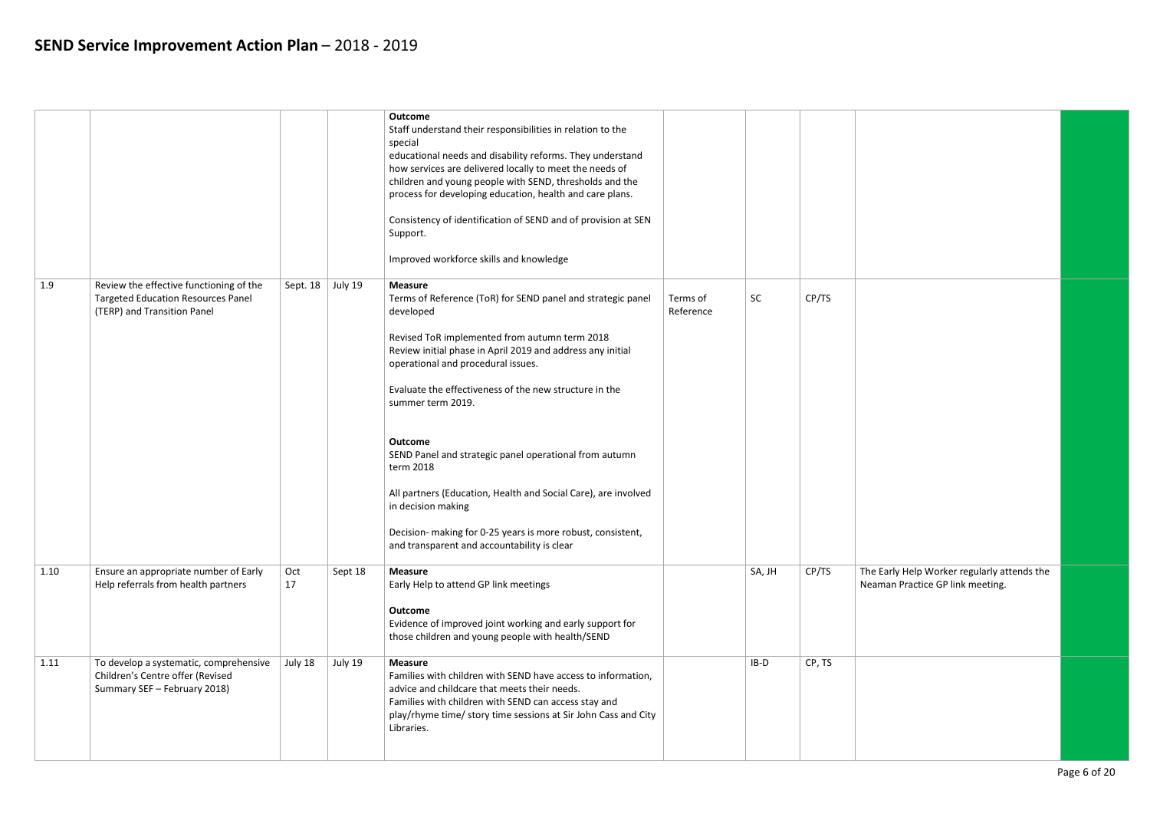|      |                                                                                                                     |           |         | <b>Outcome</b><br>Staff understand their responsibilities in relation to the<br>special<br>educational needs and disability reforms. They understand<br>how services are delivered locally to meet the needs of<br>children and young people with SEND, thresholds and the<br>process for developing education, health and care plans.<br>Consistency of identification of SEND and of provision at SEN<br>Support.<br>Improved workforce skills and knowledge                                                                                                                                                                |                       |           |        |  |
|------|---------------------------------------------------------------------------------------------------------------------|-----------|---------|-------------------------------------------------------------------------------------------------------------------------------------------------------------------------------------------------------------------------------------------------------------------------------------------------------------------------------------------------------------------------------------------------------------------------------------------------------------------------------------------------------------------------------------------------------------------------------------------------------------------------------|-----------------------|-----------|--------|--|
| 1.9  | Review the effective functioning of the<br><b>Targeted Education Resources Panel</b><br>(TERP) and Transition Panel | Sept. 18  | July 19 | <b>Measure</b><br>Terms of Reference (ToR) for SEND panel and strategic panel<br>developed<br>Revised ToR implemented from autumn term 2018<br>Review initial phase in April 2019 and address any initial<br>operational and procedural issues.<br>Evaluate the effectiveness of the new structure in the<br>summer term 2019.<br><b>Outcome</b><br>SEND Panel and strategic panel operational from autumn<br>term 2018<br>All partners (Education, Health and Social Care), are involved<br>in decision making<br>Decision- making for 0-25 years is more robust, consistent,<br>and transparent and accountability is clear | Terms of<br>Reference | <b>SC</b> | CP/TS  |  |
| 1.10 | Ensure an appropriate number of Early<br>Help referrals from health partners                                        | Oct<br>17 | Sept 18 | <b>Measure</b><br>Early Help to attend GP link meetings<br><b>Outcome</b><br>Evidence of improved joint working and early support for<br>those children and young people with health/SEND                                                                                                                                                                                                                                                                                                                                                                                                                                     |                       | SA, JH    | CP/TS  |  |
| 1.11 | To develop a systematic, comprehensive<br>Children's Centre offer (Revised<br>Summary SEF - February 2018)          | July 18   | July 19 | <b>Measure</b><br>Families with children with SEND have access to information,<br>advice and childcare that meets their needs.<br>Families with children with SEND can access stay and<br>play/rhyme time/ story time sessions at Sir John Cass and City<br>Libraries.                                                                                                                                                                                                                                                                                                                                                        |                       | $IB-D$    | CP, TS |  |

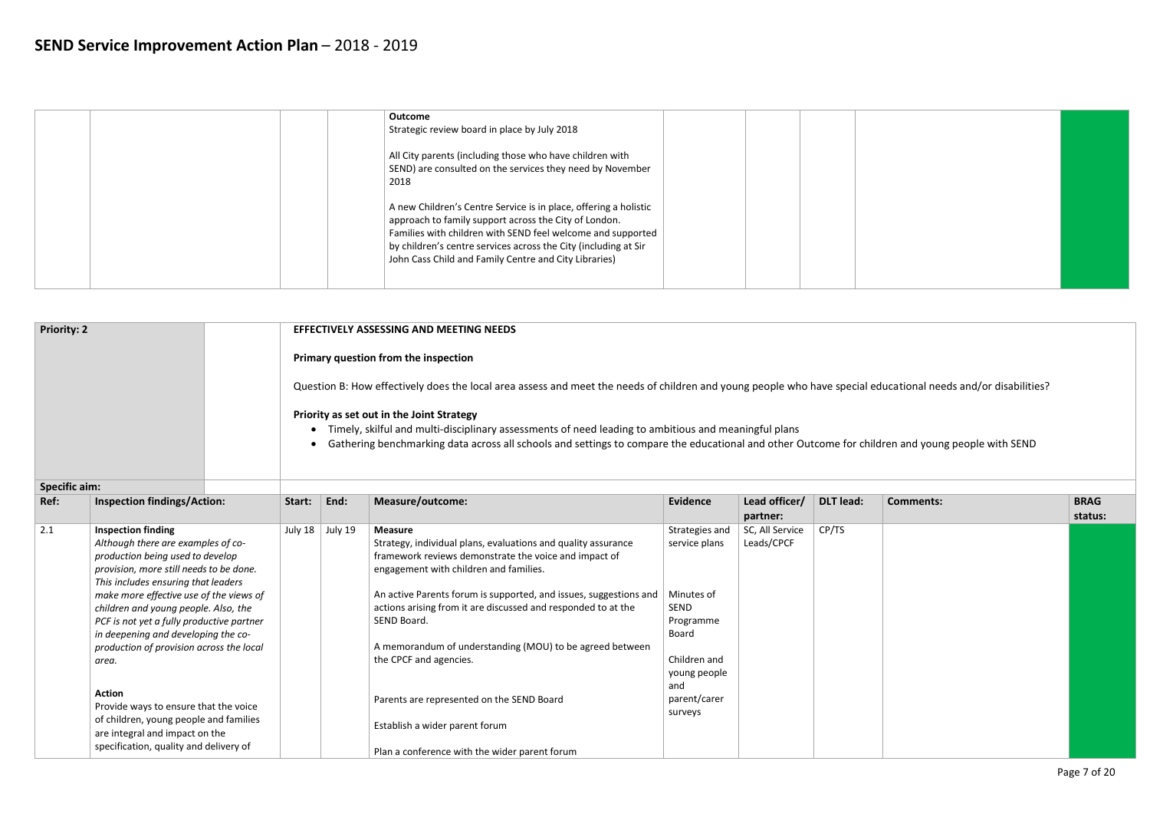| Outcome<br>Strategic review board in place by July 2018                                                                                                                                                                                                                                                              |  |  |
|----------------------------------------------------------------------------------------------------------------------------------------------------------------------------------------------------------------------------------------------------------------------------------------------------------------------|--|--|
| All City parents (including those who have children with<br>SEND) are consulted on the services they need by November<br>2018                                                                                                                                                                                        |  |  |
| A new Children's Centre Service is in place, offering a holistic<br>approach to family support across the City of London.<br>Families with children with SEND feel welcome and supported<br>by children's centre services across the City (including at Sir<br>John Cass Child and Family Centre and City Libraries) |  |  |

| <b>Priority: 2</b> | <b>EFFECTIVELY ASSESSING AND MEETING NEEDS</b>                                                                                                                                                                                                                        |
|--------------------|-----------------------------------------------------------------------------------------------------------------------------------------------------------------------------------------------------------------------------------------------------------------------|
|                    | Primary question from the inspection                                                                                                                                                                                                                                  |
|                    | Question B: How effectively does the local area assess and meet the needs of children and young people who have special                                                                                                                                               |
|                    | Priority as set out in the Joint Strategy<br>Timely, skilful and multi-disciplinary assessments of need leading to ambitious and meaningful plans<br>Gathering benchmarking data across all schools and settings to compare the educational and other Outcome for chi |

| <b>Specific aim:</b> |                                                                                                                                                                                                                                                                                                                                                                                                                                                                                                                       |         |         |                                                                                                                                                                                                                                                                                                                                                                                                                                                                            |                                                                                                                                               |                               |                  |                  |             |
|----------------------|-----------------------------------------------------------------------------------------------------------------------------------------------------------------------------------------------------------------------------------------------------------------------------------------------------------------------------------------------------------------------------------------------------------------------------------------------------------------------------------------------------------------------|---------|---------|----------------------------------------------------------------------------------------------------------------------------------------------------------------------------------------------------------------------------------------------------------------------------------------------------------------------------------------------------------------------------------------------------------------------------------------------------------------------------|-----------------------------------------------------------------------------------------------------------------------------------------------|-------------------------------|------------------|------------------|-------------|
| Ref:                 | <b>Inspection findings/Action:</b>                                                                                                                                                                                                                                                                                                                                                                                                                                                                                    | Start:  | End:    | Measure/outcome:                                                                                                                                                                                                                                                                                                                                                                                                                                                           | Evidence                                                                                                                                      | Lead officer/                 | <b>DLT</b> lead: | <b>Comments:</b> | <b>BRAG</b> |
|                      |                                                                                                                                                                                                                                                                                                                                                                                                                                                                                                                       |         |         |                                                                                                                                                                                                                                                                                                                                                                                                                                                                            |                                                                                                                                               | partner:                      |                  |                  | status:     |
| 2.1                  | <b>Inspection finding</b><br>Although there are examples of co-<br>production being used to develop<br>provision, more still needs to be done.<br>This includes ensuring that leaders<br>make more effective use of the views of<br>children and young people. Also, the<br>PCF is not yet a fully productive partner<br>in deepening and developing the co-<br>production of provision across the local<br>area.<br><b>Action</b><br>Provide ways to ensure that the voice<br>of children, young people and families | July 18 | July 19 | <b>Measure</b><br>Strategy, individual plans, evaluations and quality assurance<br>framework reviews demonstrate the voice and impact of<br>engagement with children and families.<br>An active Parents forum is supported, and issues, suggestions and<br>actions arising from it are discussed and responded to at the<br>SEND Board.<br>A memorandum of understanding (MOU) to be agreed between<br>the CPCF and agencies.<br>Parents are represented on the SEND Board | Strategies and<br>service plans<br>Minutes of<br>SEND<br>Programme<br>Board<br>Children and<br>young people<br>and<br>parent/carer<br>surveys | SC, All Service<br>Leads/CPCF | CP/TS            |                  |             |
|                      | are integral and impact on the<br>specification, quality and delivery of                                                                                                                                                                                                                                                                                                                                                                                                                                              |         |         | Establish a wider parent forum<br>Plan a conference with the wider parent forum                                                                                                                                                                                                                                                                                                                                                                                            |                                                                                                                                               |                               |                  |                  |             |

educational needs and/or disabilities?

ildren and young people with SEND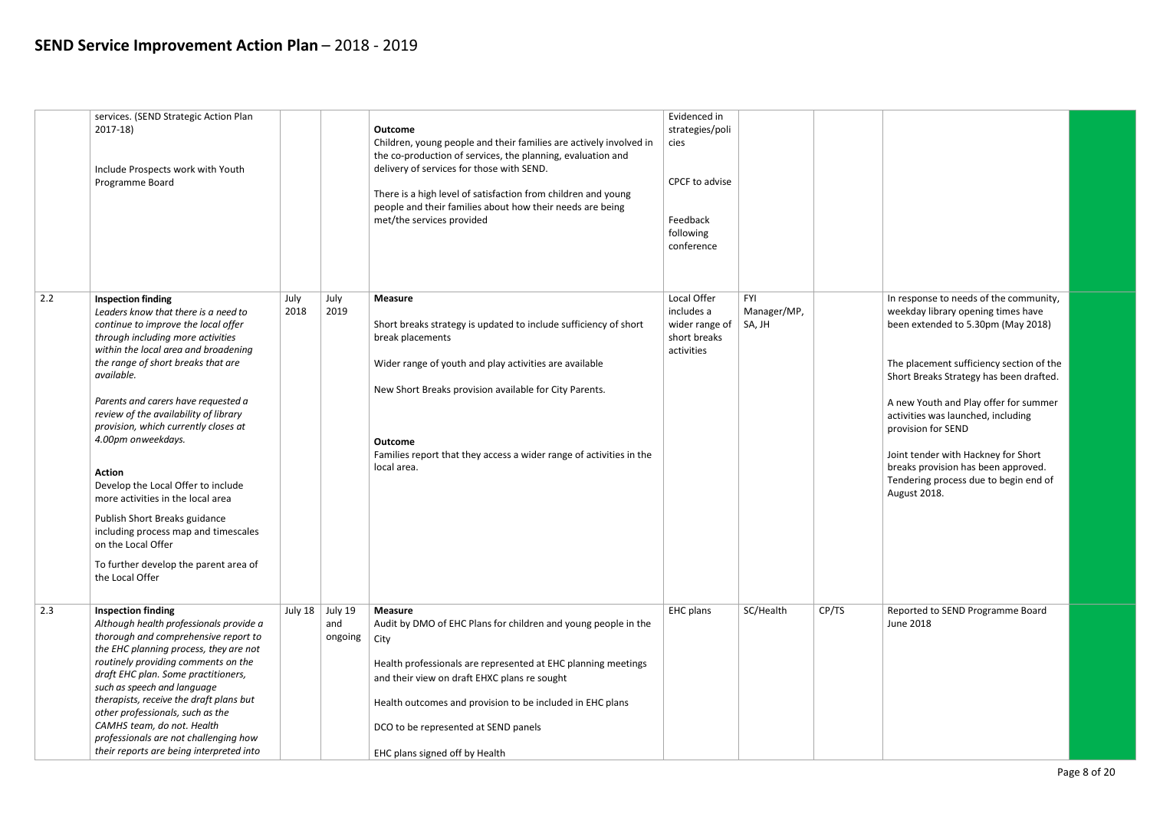| In response to needs of the community,<br>weekday library opening times have<br>been extended to 5.30pm (May 2018)                  |  |
|-------------------------------------------------------------------------------------------------------------------------------------|--|
| The placement sufficiency section of the<br>Short Breaks Strategy has been drafted.                                                 |  |
| A new Youth and Play offer for summer<br>activities was launched, including<br>provision for SEND                                   |  |
| Joint tender with Hackney for Short<br>breaks provision has been approved.<br>Tendering process due to begin end of<br>August 2018. |  |
|                                                                                                                                     |  |
|                                                                                                                                     |  |
| Reported to SEND Programme Board<br><b>June 2018</b>                                                                                |  |
|                                                                                                                                     |  |

|     | services. (SEND Strategic Action Plan<br>$2017-18$<br>Include Prospects work with Youth<br>Programme Board                                                                                                                                                                                                                                                                                                                                                                                                                                                                                                                                     |              |                           | <b>Outcome</b><br>Children, young people and their families are actively involved in<br>the co-production of services, the planning, evaluation and<br>delivery of services for those with SEND.<br>There is a high level of satisfaction from children and young<br>people and their families about how their needs are being<br>met/the services provided | Evidenced in<br>strategies/poli<br>cies<br>CPCF to advise<br>Feedback<br>following<br>conference |                                     |       |                                                                                                                                                                                                                                                                                                                                                                                                                                          |
|-----|------------------------------------------------------------------------------------------------------------------------------------------------------------------------------------------------------------------------------------------------------------------------------------------------------------------------------------------------------------------------------------------------------------------------------------------------------------------------------------------------------------------------------------------------------------------------------------------------------------------------------------------------|--------------|---------------------------|-------------------------------------------------------------------------------------------------------------------------------------------------------------------------------------------------------------------------------------------------------------------------------------------------------------------------------------------------------------|--------------------------------------------------------------------------------------------------|-------------------------------------|-------|------------------------------------------------------------------------------------------------------------------------------------------------------------------------------------------------------------------------------------------------------------------------------------------------------------------------------------------------------------------------------------------------------------------------------------------|
| 2.2 | <b>Inspection finding</b><br>Leaders know that there is a need to<br>continue to improve the local offer<br>through including more activities<br>within the local area and broadening<br>the range of short breaks that are<br>available.<br>Parents and carers have requested a<br>review of the availability of library<br>provision, which currently closes at<br>4.00pm onweekdays.<br><b>Action</b><br>Develop the Local Offer to include<br>more activities in the local area<br>Publish Short Breaks guidance<br>including process map and timescales<br>on the Local Offer<br>To further develop the parent area of<br>the Local Offer | July<br>2018 | July<br>2019              | <b>Measure</b><br>Short breaks strategy is updated to include sufficiency of short<br>break placements<br>Wider range of youth and play activities are available<br>New Short Breaks provision available for City Parents.<br><b>Outcome</b><br>Families report that they access a wider range of activities in the<br>local area.                          | Local Offer<br>includes a<br>wider range of<br>short breaks<br>activities                        | <b>FYI</b><br>Manager/MP,<br>SA, JH |       | In response to needs of the communi<br>weekday library opening times have<br>been extended to 5.30pm (May 2018<br>The placement sufficiency section of<br>Short Breaks Strategy has been drafte<br>A new Youth and Play offer for summ<br>activities was launched, including<br>provision for SEND<br>Joint tender with Hackney for Short<br>breaks provision has been approved.<br>Tendering process due to begin end o<br>August 2018. |
| 2.3 | <b>Inspection finding</b><br>Although health professionals provide a<br>thorough and comprehensive report to<br>the EHC planning process, they are not<br>routinely providing comments on the<br>draft EHC plan. Some practitioners,<br>such as speech and language<br>therapists, receive the draft plans but<br>other professionals, such as the<br>CAMHS team, do not. Health<br>professionals are not challenging how<br>their reports are being interpreted into                                                                                                                                                                          | July 18      | July 19<br>and<br>ongoing | <b>Measure</b><br>Audit by DMO of EHC Plans for children and young people in the<br>  City<br>Health professionals are represented at EHC planning meetings<br>and their view on draft EHXC plans re sought<br>Health outcomes and provision to be included in EHC plans<br>DCO to be represented at SEND panels<br>EHC plans signed off by Health          | EHC plans                                                                                        | SC/Health                           | CP/TS | Reported to SEND Programme Board<br>June 2018                                                                                                                                                                                                                                                                                                                                                                                            |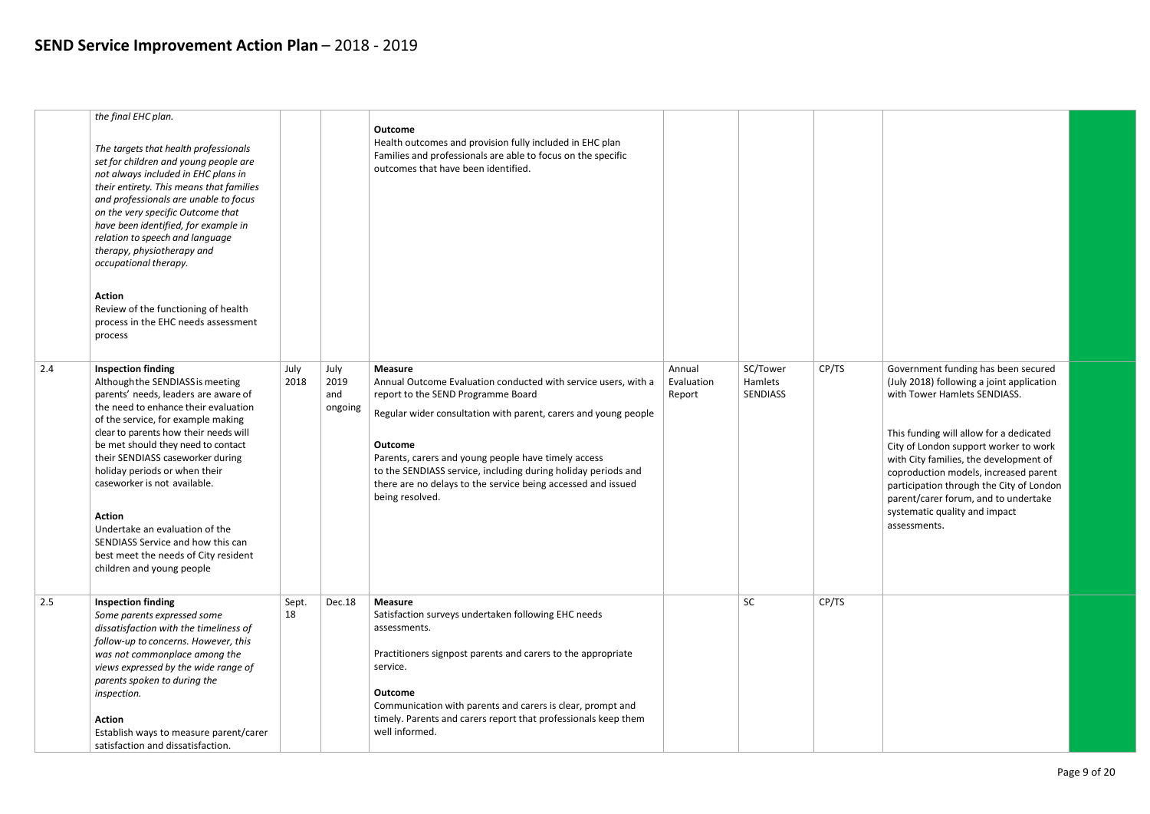|     | the final EHC plan.<br>The targets that health professionals<br>set for children and young people are<br>not always included in EHC plans in<br>their entirety. This means that families<br>and professionals are unable to focus<br>on the very specific Outcome that<br>have been identified, for example in<br>relation to speech and language<br>therapy, physiotherapy and<br>occupational therapy.<br><b>Action</b><br>Review of the functioning of health<br>process in the EHC needs assessment<br>process |              |                                | <b>Outcome</b><br>Health outcomes and provision fully included in EHC plan<br>Families and professionals are able to focus on the specific<br>outcomes that have been identified.                                                                                                                                                                                                                                      |                                |                                        |       |
|-----|--------------------------------------------------------------------------------------------------------------------------------------------------------------------------------------------------------------------------------------------------------------------------------------------------------------------------------------------------------------------------------------------------------------------------------------------------------------------------------------------------------------------|--------------|--------------------------------|------------------------------------------------------------------------------------------------------------------------------------------------------------------------------------------------------------------------------------------------------------------------------------------------------------------------------------------------------------------------------------------------------------------------|--------------------------------|----------------------------------------|-------|
| 2.4 | <b>Inspection finding</b><br>Although the SENDIASS is meeting<br>parents' needs, leaders are aware of<br>the need to enhance their evaluation<br>of the service, for example making<br>clear to parents how their needs will<br>be met should they need to contact<br>their SENDIASS caseworker during<br>holiday periods or when their<br>caseworker is not available.<br><b>Action</b><br>Undertake an evaluation of the<br>SENDIASS Service and how this can<br>best meet the needs of City resident            | July<br>2018 | July<br>2019<br>and<br>ongoing | <b>Measure</b><br>Annual Outcome Evaluation conducted with service users, with a<br>report to the SEND Programme Board<br>Regular wider consultation with parent, carers and young people<br><b>Outcome</b><br>Parents, carers and young people have timely access<br>to the SENDIASS service, including during holiday periods and<br>there are no delays to the service being accessed and issued<br>being resolved. | Annual<br>Evaluation<br>Report | SC/Tower<br><b>Hamlets</b><br>SENDIASS | CP/TS |
| 2.5 | children and young people<br><b>Inspection finding</b><br>Some parents expressed some<br>dissatisfaction with the timeliness of<br>follow-up to concerns. However, this<br>was not commonplace among the<br>views expressed by the wide range of<br>parents spoken to during the<br>inspection.<br><b>Action</b><br>Establish ways to measure parent/carer<br>satisfaction and dissatisfaction.                                                                                                                    | Sept.<br>18  | <b>Dec.18</b>                  | <b>Measure</b><br>Satisfaction surveys undertaken following EHC needs<br>assessments.<br>Practitioners signpost parents and carers to the appropriate<br>service.<br><b>Outcome</b><br>Communication with parents and carers is clear, prompt and<br>timely. Parents and carers report that professionals keep them<br>well informed.                                                                                  |                                | SC                                     | CP/TS |

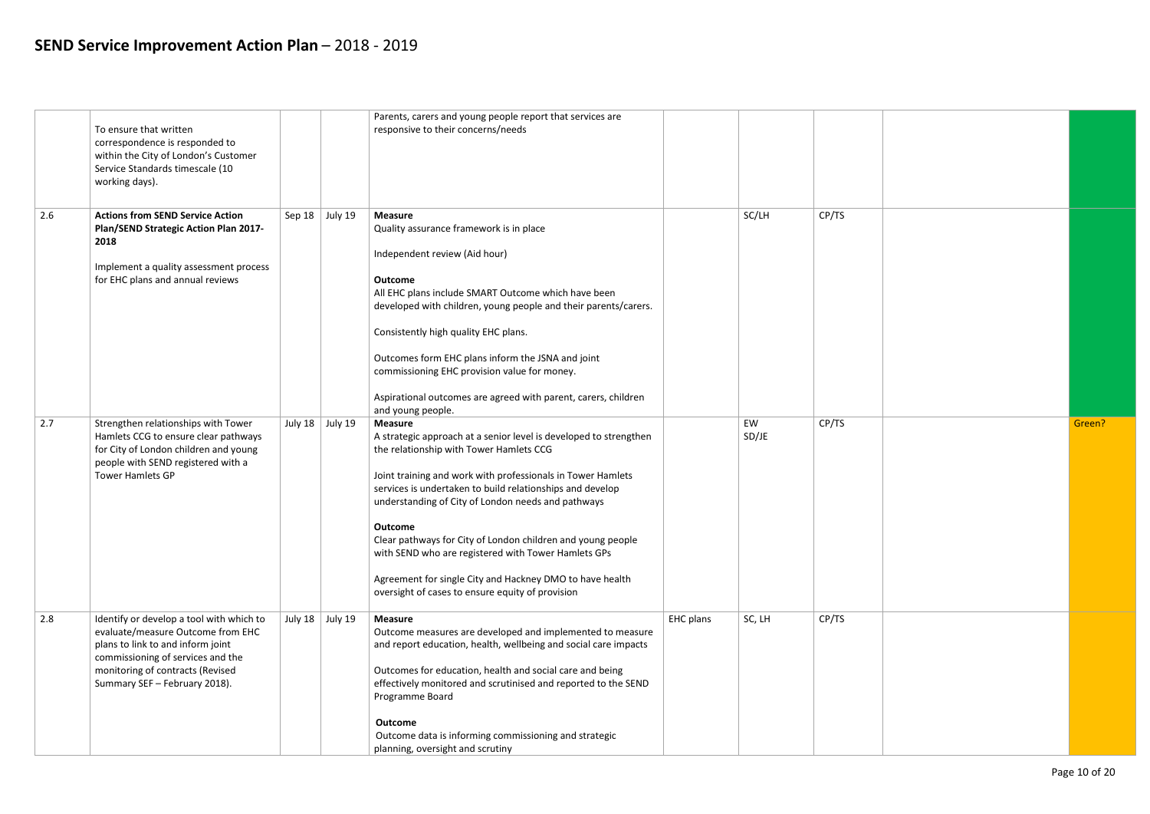|     | To ensure that written<br>correspondence is responded to<br>within the City of London's Customer<br>Service Standards timescale (10<br>working days).                                                                        |                         | Parents, carers and young people report that services are<br>responsive to their concerns/needs                                                                                                                                                                                                                                                                                                                                                                                                                                                                                        |           |             |       |        |
|-----|------------------------------------------------------------------------------------------------------------------------------------------------------------------------------------------------------------------------------|-------------------------|----------------------------------------------------------------------------------------------------------------------------------------------------------------------------------------------------------------------------------------------------------------------------------------------------------------------------------------------------------------------------------------------------------------------------------------------------------------------------------------------------------------------------------------------------------------------------------------|-----------|-------------|-------|--------|
| 2.6 | <b>Actions from SEND Service Action</b><br>Plan/SEND Strategic Action Plan 2017-<br>2018<br>Implement a quality assessment process<br>for EHC plans and annual reviews                                                       | Sep $18$ July $19$      | <b>Measure</b><br>Quality assurance framework is in place<br>Independent review (Aid hour)<br><b>Outcome</b><br>All EHC plans include SMART Outcome which have been<br>developed with children, young people and their parents/carers.<br>Consistently high quality EHC plans.<br>Outcomes form EHC plans inform the JSNA and joint<br>commissioning EHC provision value for money.<br>Aspirational outcomes are agreed with parent, carers, children                                                                                                                                  |           | SC/LH       | CP/TS |        |
| 2.7 | Strengthen relationships with Tower<br>Hamlets CCG to ensure clear pathways<br>for City of London children and young<br>people with SEND registered with a<br><b>Tower Hamlets GP</b>                                        | July 18 $\vert$ July 19 | and young people.<br><b>Measure</b><br>A strategic approach at a senior level is developed to strengthen<br>the relationship with Tower Hamlets CCG<br>Joint training and work with professionals in Tower Hamlets<br>services is undertaken to build relationships and develop<br>understanding of City of London needs and pathways<br>Outcome<br>Clear pathways for City of London children and young people<br>with SEND who are registered with Tower Hamlets GPs<br>Agreement for single City and Hackney DMO to have health<br>oversight of cases to ensure equity of provision |           | EW<br>SD/JE | CP/TS | Green? |
| 2.8 | Identify or develop a tool with which to<br>evaluate/measure Outcome from EHC<br>plans to link to and inform joint<br>commissioning of services and the<br>monitoring of contracts (Revised<br>Summary SEF - February 2018). | July 18 $\vert$ July 19 | <b>Measure</b><br>Outcome measures are developed and implemented to measure<br>and report education, health, wellbeing and social care impacts<br>Outcomes for education, health and social care and being<br>effectively monitored and scrutinised and reported to the SEND<br>Programme Board<br><b>Outcome</b><br>Outcome data is informing commissioning and strategic<br>planning, oversight and scrutiny                                                                                                                                                                         | EHC plans | SC, LH      | CP/TS |        |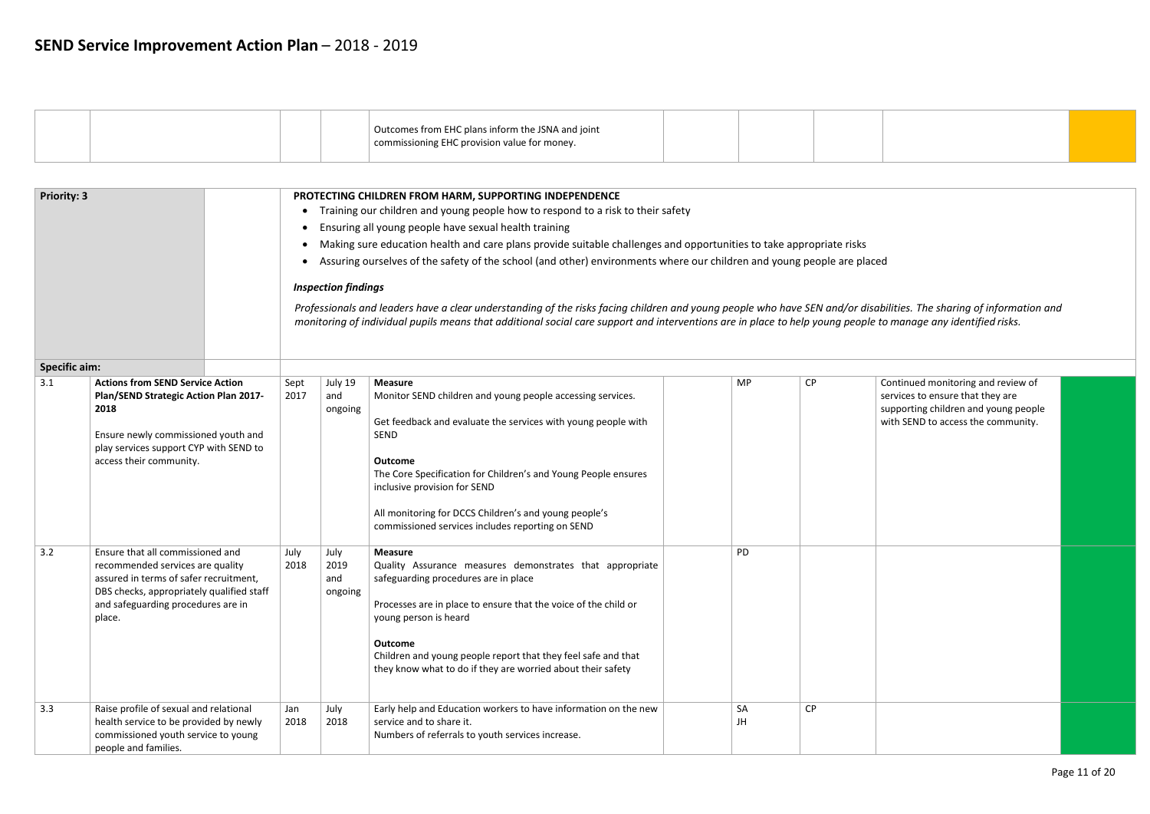

| <b>Priority: 3</b>                                                                                                                                                                                                                  |                                                                                                                                                                                                             |              | PROTECTING CHILDREN FROM HARM, SUPPORTING INDEPENDENCE<br>Training our children and young people how to respond to a risk to their safety<br>Ensuring all young people have sexual health training<br>Making sure education health and care plans provide suitable challenges and opportunities to take appropriate risks<br>Assuring ourselves of the safety of the school (and other) environments where our children and young people are placed<br><b>Inspection findings</b> |                                                                                                                                                                                                                                                                                                                                                                                               |                                                                                                                                                                                                                                                                  |           |                      |  |  |  |  |
|-------------------------------------------------------------------------------------------------------------------------------------------------------------------------------------------------------------------------------------|-------------------------------------------------------------------------------------------------------------------------------------------------------------------------------------------------------------|--------------|-----------------------------------------------------------------------------------------------------------------------------------------------------------------------------------------------------------------------------------------------------------------------------------------------------------------------------------------------------------------------------------------------------------------------------------------------------------------------------------|-----------------------------------------------------------------------------------------------------------------------------------------------------------------------------------------------------------------------------------------------------------------------------------------------------------------------------------------------------------------------------------------------|------------------------------------------------------------------------------------------------------------------------------------------------------------------------------------------------------------------------------------------------------------------|-----------|----------------------|--|--|--|--|
|                                                                                                                                                                                                                                     |                                                                                                                                                                                                             |              |                                                                                                                                                                                                                                                                                                                                                                                                                                                                                   |                                                                                                                                                                                                                                                                                                                                                                                               | Professionals and leaders have a clear understanding of the risks facing children and young people who have SEN and/or disab<br>monitoring of individual pupils means that additional social care support and interventions are in place to help young people to |           |                      |  |  |  |  |
| <b>Specific aim:</b><br>3.1<br><b>Actions from SEND Service Action</b><br>Plan/SEND Strategic Action Plan 2017-<br>2018<br>Ensure newly commissioned youth and<br>play services support CYP with SEND to<br>access their community. |                                                                                                                                                                                                             | Sept<br>2017 | July 19<br>and<br>ongoing                                                                                                                                                                                                                                                                                                                                                                                                                                                         | <b>Measure</b><br>Monitor SEND children and young people accessing services.<br>Get feedback and evaluate the services with young people with<br><b>SEND</b><br><b>Outcome</b><br>The Core Specification for Children's and Young People ensures<br>inclusive provision for SEND<br>All monitoring for DCCS Children's and young people's<br>commissioned services includes reporting on SEND | MP                                                                                                                                                                                                                                                               | <b>CP</b> | C<br>S)<br><b>SI</b> |  |  |  |  |
| 3.2                                                                                                                                                                                                                                 | Ensure that all commissioned and<br>recommended services are quality<br>assured in terms of safer recruitment,<br>DBS checks, appropriately qualified staff<br>and safeguarding procedures are in<br>place. | July<br>2018 | July<br>2019<br>and<br>ongoing                                                                                                                                                                                                                                                                                                                                                                                                                                                    | <b>Measure</b><br>Quality Assurance measures demonstrates that appropriate<br>safeguarding procedures are in place<br>Processes are in place to ensure that the voice of the child or<br>young person is heard<br><b>Outcome</b><br>Children and young people report that they feel safe and that<br>they know what to do if they are worried about their safety                              | <b>PD</b>                                                                                                                                                                                                                                                        |           |                      |  |  |  |  |
| 3.3                                                                                                                                                                                                                                 | Raise profile of sexual and relational<br>health service to be provided by newly<br>commissioned youth service to young<br>people and families.                                                             |              | Jan<br>2018                                                                                                                                                                                                                                                                                                                                                                                                                                                                       | July<br>2018                                                                                                                                                                                                                                                                                                                                                                                  | Early help and Education workers to have information on the new<br>service and to share it.<br>Numbers of referrals to youth services increase.                                                                                                                  | SA<br>JH  | <b>CP</b>            |  |  |  |  |

|  |  | Outcomes from EHC plans inform the JSNA and joint<br>commissioning EHC provision value for money. |  |  |
|--|--|---------------------------------------------------------------------------------------------------|--|--|
|  |  |                                                                                                   |  |  |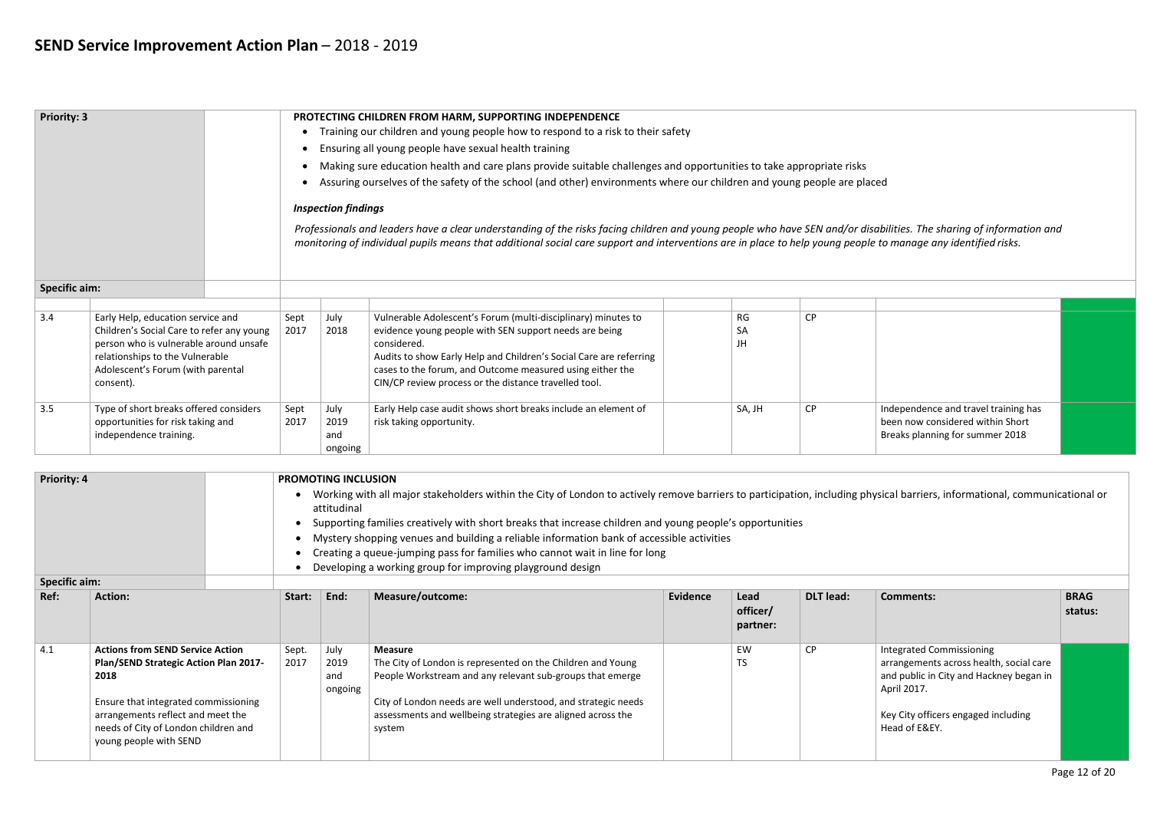| <b>Priority: 3</b>                                                                                                                                                                                                                                                                                                                   |                                                                                                                                                                                                               |  |              |                                | PROTECTING CHILDREN FROM HARM, SUPPORTING INDEPENDENCE                                                                                                                                                                                                                                                                             |                       |           |                                                                                                             |  |  |  |  |
|--------------------------------------------------------------------------------------------------------------------------------------------------------------------------------------------------------------------------------------------------------------------------------------------------------------------------------------|---------------------------------------------------------------------------------------------------------------------------------------------------------------------------------------------------------------|--|--------------|--------------------------------|------------------------------------------------------------------------------------------------------------------------------------------------------------------------------------------------------------------------------------------------------------------------------------------------------------------------------------|-----------------------|-----------|-------------------------------------------------------------------------------------------------------------|--|--|--|--|
|                                                                                                                                                                                                                                                                                                                                      |                                                                                                                                                                                                               |  |              |                                | Training our children and young people how to respond to a risk to their safety                                                                                                                                                                                                                                                    |                       |           |                                                                                                             |  |  |  |  |
|                                                                                                                                                                                                                                                                                                                                      |                                                                                                                                                                                                               |  |              |                                | Ensuring all young people have sexual health training                                                                                                                                                                                                                                                                              |                       |           |                                                                                                             |  |  |  |  |
|                                                                                                                                                                                                                                                                                                                                      |                                                                                                                                                                                                               |  |              |                                | Making sure education health and care plans provide suitable challenges and opportunities to take appropriate risks                                                                                                                                                                                                                |                       |           |                                                                                                             |  |  |  |  |
|                                                                                                                                                                                                                                                                                                                                      |                                                                                                                                                                                                               |  |              |                                | Assuring ourselves of the safety of the school (and other) environments where our children and young people are placed                                                                                                                                                                                                             |                       |           |                                                                                                             |  |  |  |  |
|                                                                                                                                                                                                                                                                                                                                      | <b>Inspection findings</b>                                                                                                                                                                                    |  |              |                                |                                                                                                                                                                                                                                                                                                                                    |                       |           |                                                                                                             |  |  |  |  |
| Professionals and leaders have a clear understanding of the risks facing children and young people who have SEN and/or disabilities. The sharing of information and<br>monitoring of individual pupils means that additional social care support and interventions are in place to help young people to manage any identified risks. |                                                                                                                                                                                                               |  |              |                                |                                                                                                                                                                                                                                                                                                                                    |                       |           |                                                                                                             |  |  |  |  |
| <b>Specific aim:</b>                                                                                                                                                                                                                                                                                                                 |                                                                                                                                                                                                               |  |              |                                |                                                                                                                                                                                                                                                                                                                                    |                       |           |                                                                                                             |  |  |  |  |
|                                                                                                                                                                                                                                                                                                                                      |                                                                                                                                                                                                               |  |              |                                |                                                                                                                                                                                                                                                                                                                                    |                       |           |                                                                                                             |  |  |  |  |
| 3.4                                                                                                                                                                                                                                                                                                                                  | Early Help, education service and<br>Children's Social Care to refer any young<br>person who is vulnerable around unsafe<br>relationships to the Vulnerable<br>Adolescent's Forum (with parental<br>consent). |  | Sept<br>2017 | July<br>2018                   | Vulnerable Adolescent's Forum (multi-disciplinary) minutes to<br>evidence young people with SEN support needs are being<br>considered.<br>Audits to show Early Help and Children's Social Care are referring<br>cases to the forum, and Outcome measured using either the<br>CIN/CP review process or the distance travelled tool. | RG<br><b>SA</b><br>JH | <b>CP</b> |                                                                                                             |  |  |  |  |
| 3.5                                                                                                                                                                                                                                                                                                                                  | Type of short breaks offered considers<br>opportunities for risk taking and<br>independence training.                                                                                                         |  | Sept<br>2017 | July<br>2019<br>and<br>ongoing | Early Help case audit shows short breaks include an element of<br>risk taking opportunity.                                                                                                                                                                                                                                         | SA, JH                | <b>CP</b> | Independence and travel training has<br>been now considered within Short<br>Breaks planning for summer 2018 |  |  |  |  |

| Priority: 4 |                                                                                                                                                                                                                                                |               | <b>PROMOTING INCLUSION</b><br>Working with all major stakeholders within the City of London to actively remove barriers to participation, including physical barriers, informational, communicational or<br>attitudinal<br>Supporting families creatively with short breaks that increase children and young people's opportunities<br>Mystery shopping venues and building a reliable information bank of accessible activities<br>Creating a queue-jumping pass for families who cannot wait in line for long |                                                                                                                                                                                                                                                                                      |          |                              |                  |                                                                                                                                                                                       |                        |  |
|-------------|------------------------------------------------------------------------------------------------------------------------------------------------------------------------------------------------------------------------------------------------|---------------|-----------------------------------------------------------------------------------------------------------------------------------------------------------------------------------------------------------------------------------------------------------------------------------------------------------------------------------------------------------------------------------------------------------------------------------------------------------------------------------------------------------------|--------------------------------------------------------------------------------------------------------------------------------------------------------------------------------------------------------------------------------------------------------------------------------------|----------|------------------------------|------------------|---------------------------------------------------------------------------------------------------------------------------------------------------------------------------------------|------------------------|--|
|             |                                                                                                                                                                                                                                                |               |                                                                                                                                                                                                                                                                                                                                                                                                                                                                                                                 | Developing a working group for improving playground design                                                                                                                                                                                                                           |          |                              |                  |                                                                                                                                                                                       |                        |  |
| Ref:        | <b>Specific aim:</b><br><b>Action:</b>                                                                                                                                                                                                         |               | End:                                                                                                                                                                                                                                                                                                                                                                                                                                                                                                            | Measure/outcome:                                                                                                                                                                                                                                                                     | Evidence | Lead<br>officer/<br>partner: | <b>DLT</b> lead: | <b>Comments:</b>                                                                                                                                                                      | <b>BRAG</b><br>status: |  |
| 4.1         | <b>Actions from SEND Service Action</b><br><b>Plan/SEND Strategic Action Plan 2017-</b><br>2018<br>Ensure that integrated commissioning<br>arrangements reflect and meet the<br>needs of City of London children and<br>young people with SEND | Sept.<br>2017 | July<br>2019<br>and<br>ongoing                                                                                                                                                                                                                                                                                                                                                                                                                                                                                  | <b>Measure</b><br>The City of London is represented on the Children and Young<br>People Workstream and any relevant sub-groups that emerge<br>City of London needs are well understood, and strategic needs<br>assessments and wellbeing strategies are aligned across the<br>system |          | EW<br>TS                     | CP               | Integrated Commissioning<br>arrangements across health, social care<br>and public in City and Hackney began in<br>April 2017.<br>Key City officers engaged including<br>Head of E&EY. |                        |  |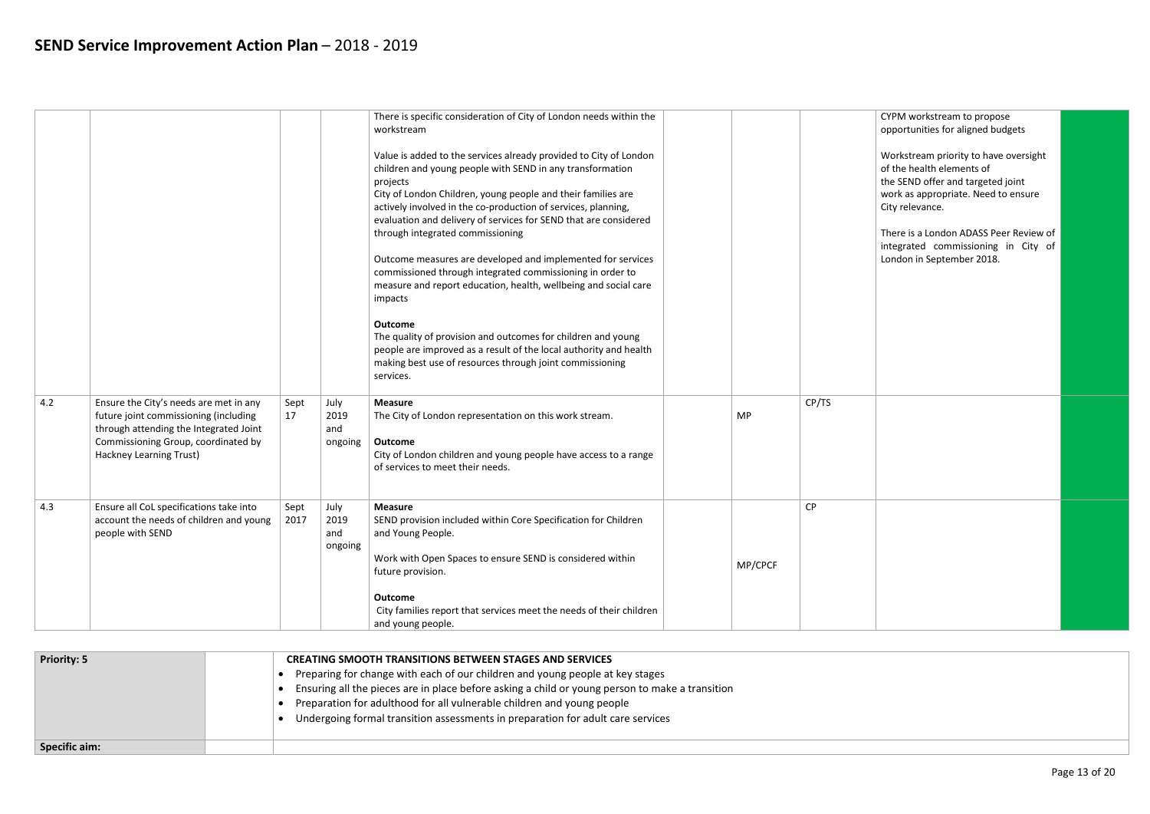|     |                                                                                                                                                                                             |              |                                | There is specific consideration of City of London needs within the<br>workstream                                                                                                                                                                                                                                                                                                    |         |           |
|-----|---------------------------------------------------------------------------------------------------------------------------------------------------------------------------------------------|--------------|--------------------------------|-------------------------------------------------------------------------------------------------------------------------------------------------------------------------------------------------------------------------------------------------------------------------------------------------------------------------------------------------------------------------------------|---------|-----------|
|     |                                                                                                                                                                                             |              |                                | Value is added to the services already provided to City of London<br>children and young people with SEND in any transformation<br>projects<br>City of London Children, young people and their families are<br>actively involved in the co-production of services, planning,<br>evaluation and delivery of services for SEND that are considered<br>through integrated commissioning |         |           |
|     |                                                                                                                                                                                             |              |                                | Outcome measures are developed and implemented for services<br>commissioned through integrated commissioning in order to<br>measure and report education, health, wellbeing and social care<br>impacts                                                                                                                                                                              |         |           |
|     |                                                                                                                                                                                             |              |                                | <b>Outcome</b><br>The quality of provision and outcomes for children and young<br>people are improved as a result of the local authority and health<br>making best use of resources through joint commissioning<br>services.                                                                                                                                                        |         |           |
| 4.2 | Ensure the City's needs are met in any<br>future joint commissioning (including<br>through attending the Integrated Joint<br>Commissioning Group, coordinated by<br>Hackney Learning Trust) | Sept<br>17   | July<br>2019<br>and<br>ongoing | <b>Measure</b><br>The City of London representation on this work stream.<br>Outcome<br>City of London children and young people have access to a range<br>of services to meet their needs.                                                                                                                                                                                          | MP      | CP/TS     |
| 4.3 | Ensure all CoL specifications take into<br>account the needs of children and young<br>people with SEND                                                                                      | Sept<br>2017 | July<br>2019<br>and<br>ongoing | <b>Measure</b><br>SEND provision included within Core Specification for Children<br>and Young People.<br>Work with Open Spaces to ensure SEND is considered within<br>future provision.<br><b>Outcome</b>                                                                                                                                                                           | MP/CPCF | <b>CP</b> |
|     |                                                                                                                                                                                             |              |                                | City families report that services meet the needs of their children<br>and young people.                                                                                                                                                                                                                                                                                            |         |           |

| CYPM workstream to propose<br>opportunities for aligned budgets                                                                                                   |  |
|-------------------------------------------------------------------------------------------------------------------------------------------------------------------|--|
| Workstream priority to have oversight<br>of the health elements of<br>the SEND offer and targeted joint<br>work as appropriate. Need to ensure<br>City relevance. |  |
| There is a London ADASS Peer Review of<br>integrated commissioning in City of<br>London in September 2018.                                                        |  |
|                                                                                                                                                                   |  |
|                                                                                                                                                                   |  |
|                                                                                                                                                                   |  |
|                                                                                                                                                                   |  |
|                                                                                                                                                                   |  |
|                                                                                                                                                                   |  |

| <b>Priority: 5</b>   | <b>CREATING SMOOTH TRANSITIONS BETWEEN STAGES AND SERVICES</b><br>Preparing for change with each of our children and young people at key stages<br>Ensuring all the pieces are in place before asking a child or young person to make a transition<br>Preparation for adulthood for all vulnerable children and young people<br>Undergoing formal transition assessments in preparation for adult care services |
|----------------------|-----------------------------------------------------------------------------------------------------------------------------------------------------------------------------------------------------------------------------------------------------------------------------------------------------------------------------------------------------------------------------------------------------------------|
| <b>Specific aim:</b> |                                                                                                                                                                                                                                                                                                                                                                                                                 |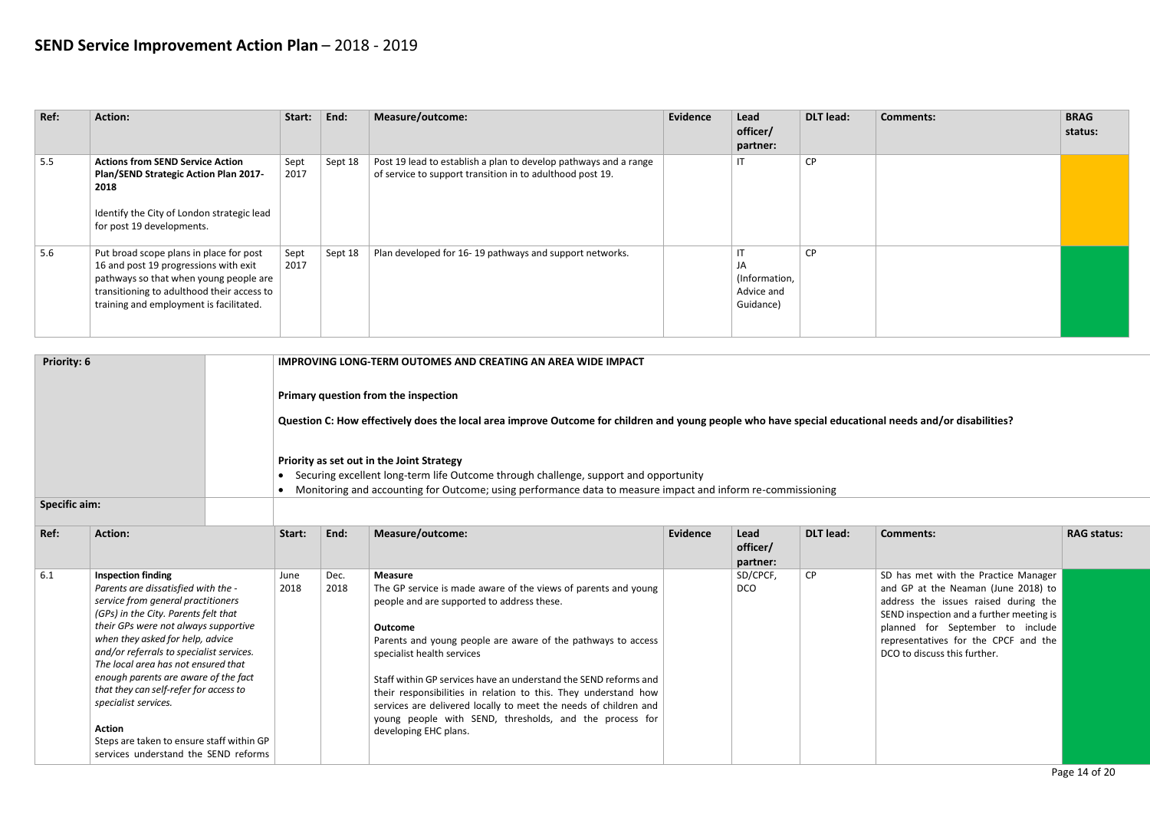| Priority: 6                                                                                                                                                                                                                                        |                                                                                                                                                                                                                                                                                                                                                                                                                                                                                                                               |  | <b>IMPROVING LONG-TERM OUTOMES AND CREATING AN AREA WIDE IMPACT</b>                                                                                   |              |                                                                                                                                                                                                                                                                                                                                                                                                                                                                                                                                               |                 |                              |                  |                                                                                                                                                                                                                                                                             |                    |  |  |  |
|----------------------------------------------------------------------------------------------------------------------------------------------------------------------------------------------------------------------------------------------------|-------------------------------------------------------------------------------------------------------------------------------------------------------------------------------------------------------------------------------------------------------------------------------------------------------------------------------------------------------------------------------------------------------------------------------------------------------------------------------------------------------------------------------|--|-------------------------------------------------------------------------------------------------------------------------------------------------------|--------------|-----------------------------------------------------------------------------------------------------------------------------------------------------------------------------------------------------------------------------------------------------------------------------------------------------------------------------------------------------------------------------------------------------------------------------------------------------------------------------------------------------------------------------------------------|-----------------|------------------------------|------------------|-----------------------------------------------------------------------------------------------------------------------------------------------------------------------------------------------------------------------------------------------------------------------------|--------------------|--|--|--|
|                                                                                                                                                                                                                                                    |                                                                                                                                                                                                                                                                                                                                                                                                                                                                                                                               |  | Primary question from the inspection                                                                                                                  |              |                                                                                                                                                                                                                                                                                                                                                                                                                                                                                                                                               |                 |                              |                  |                                                                                                                                                                                                                                                                             |                    |  |  |  |
|                                                                                                                                                                                                                                                    |                                                                                                                                                                                                                                                                                                                                                                                                                                                                                                                               |  | Question C: How effectively does the local area improve Outcome for children and young people who have special educational needs and/or disabilities? |              |                                                                                                                                                                                                                                                                                                                                                                                                                                                                                                                                               |                 |                              |                  |                                                                                                                                                                                                                                                                             |                    |  |  |  |
| Priority as set out in the Joint Strategy<br>Securing excellent long-term life Outcome through challenge, support and opportunity<br>• Monitoring and accounting for Outcome; using performance data to measure impact and inform re-commissioning |                                                                                                                                                                                                                                                                                                                                                                                                                                                                                                                               |  |                                                                                                                                                       |              |                                                                                                                                                                                                                                                                                                                                                                                                                                                                                                                                               |                 |                              |                  |                                                                                                                                                                                                                                                                             |                    |  |  |  |
| <b>Specific aim:</b>                                                                                                                                                                                                                               |                                                                                                                                                                                                                                                                                                                                                                                                                                                                                                                               |  |                                                                                                                                                       |              |                                                                                                                                                                                                                                                                                                                                                                                                                                                                                                                                               |                 |                              |                  |                                                                                                                                                                                                                                                                             |                    |  |  |  |
| Ref:                                                                                                                                                                                                                                               | <b>Action:</b>                                                                                                                                                                                                                                                                                                                                                                                                                                                                                                                |  | Start:                                                                                                                                                | End:         | Measure/outcome:                                                                                                                                                                                                                                                                                                                                                                                                                                                                                                                              | <b>Evidence</b> | Lead<br>officer/<br>partner: | <b>DLT</b> lead: | <b>Comments:</b>                                                                                                                                                                                                                                                            | <b>RAG status:</b> |  |  |  |
| 6.1                                                                                                                                                                                                                                                | <b>Inspection finding</b><br>Parents are dissatisfied with the -<br>service from general practitioners<br>(GPs) in the City. Parents felt that<br>their GPs were not always supportive<br>when they asked for help, advice<br>and/or referrals to specialist services.<br>The local area has not ensured that<br>enough parents are aware of the fact<br>that they can self-refer for access to<br>specialist services.<br><b>Action</b><br>Steps are taken to ensure staff within GP<br>services understand the SEND reforms |  | June<br>2018                                                                                                                                          | Dec.<br>2018 | <b>Measure</b><br>The GP service is made aware of the views of parents and young<br>people and are supported to address these.<br><b>Outcome</b><br>Parents and young people are aware of the pathways to access<br>specialist health services<br>Staff within GP services have an understand the SEND reforms and<br>their responsibilities in relation to this. They understand how<br>services are delivered locally to meet the needs of children and<br>young people with SEND, thresholds, and the process for<br>developing EHC plans. |                 | SD/CPCF,<br><b>DCO</b>       | CP               | SD has met with the Practice Manager<br>and GP at the Neaman (June 2018) to<br>address the issues raised during the<br>SEND inspection and a further meeting is<br>planned for September to include<br>representatives for the CPCF and the<br>DCO to discuss this further. |                    |  |  |  |

| Ref: | <b>Action:</b>                                                                                                                                                                                                      | Start:       | End:    | Measure/outcome:                                                                                                              | Evidence | Lead<br>officer/<br>partner:                                             | <b>DLT</b> lead: | <b>Comments:</b> | <b>BRAG</b><br>status: |
|------|---------------------------------------------------------------------------------------------------------------------------------------------------------------------------------------------------------------------|--------------|---------|-------------------------------------------------------------------------------------------------------------------------------|----------|--------------------------------------------------------------------------|------------------|------------------|------------------------|
| 5.5  | <b>Actions from SEND Service Action</b><br><b>Plan/SEND Strategic Action Plan 2017-</b><br>2018<br>Identify the City of London strategic lead<br>for post 19 developments.                                          | Sept<br>2017 | Sept 18 | Post 19 lead to establish a plan to develop pathways and a range<br>of service to support transition in to adulthood post 19. |          | $\mathsf{I}\mathsf{T}$                                                   | <b>CP</b>        |                  |                        |
| 5.6  | Put broad scope plans in place for post<br>16 and post 19 progressions with exit<br>pathways so that when young people are<br>transitioning to adulthood their access to<br>training and employment is facilitated. | Sept<br>2017 | Sept 18 | Plan developed for 16-19 pathways and support networks.                                                                       |          | $\mathsf{I}\mathsf{T}$<br>JA<br>(Information,<br>Advice and<br>Guidance) | <b>CP</b>        |                  |                        |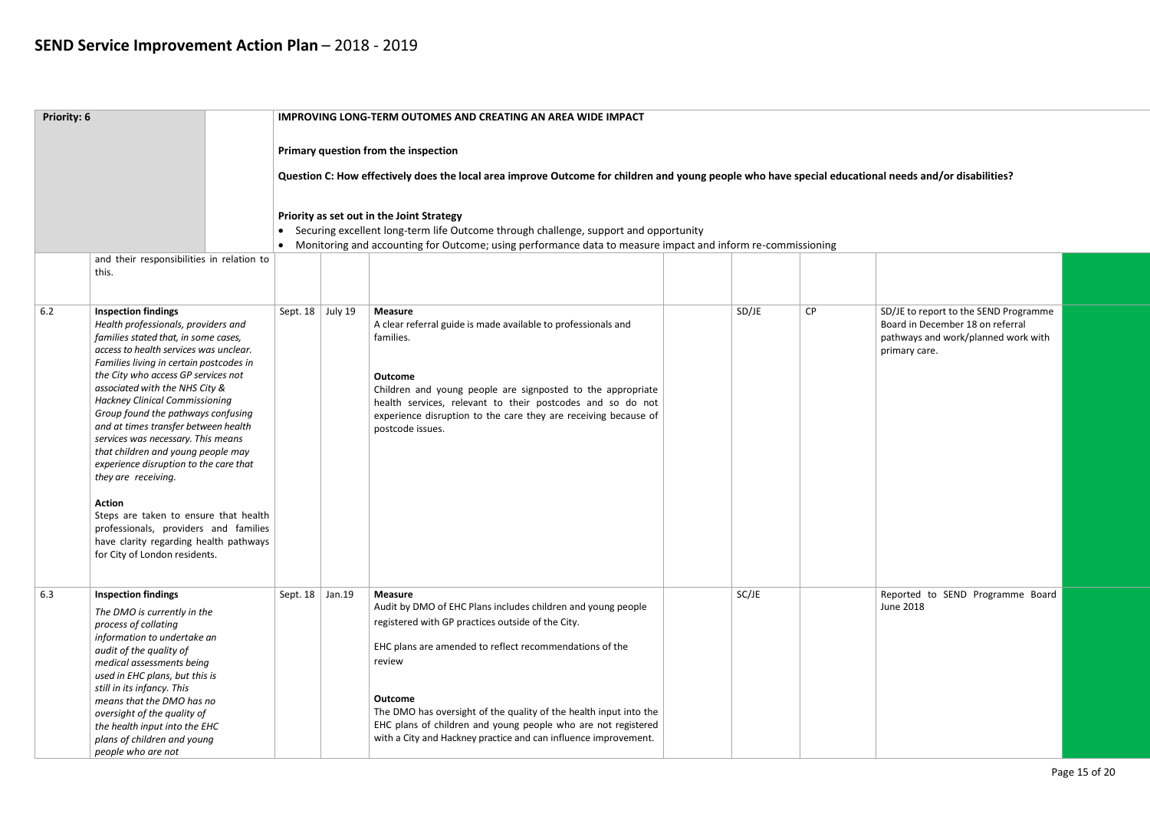| Priority: 6 |                                                                                                                                                                                                                                                                                                                                                                                                                                                                                                                                             |                                                                                                                                                                                                                                                                 |  | <b>IMPROVING LONG-TERM OUTOMES AND CREATING AN AREA WIDE IMPACT</b>                                                                                                                                                                                                                                                                                                                                                                 |       |    |                                                                                                                                   |  |  |  |
|-------------|---------------------------------------------------------------------------------------------------------------------------------------------------------------------------------------------------------------------------------------------------------------------------------------------------------------------------------------------------------------------------------------------------------------------------------------------------------------------------------------------------------------------------------------------|-----------------------------------------------------------------------------------------------------------------------------------------------------------------------------------------------------------------------------------------------------------------|--|-------------------------------------------------------------------------------------------------------------------------------------------------------------------------------------------------------------------------------------------------------------------------------------------------------------------------------------------------------------------------------------------------------------------------------------|-------|----|-----------------------------------------------------------------------------------------------------------------------------------|--|--|--|
|             |                                                                                                                                                                                                                                                                                                                                                                                                                                                                                                                                             |                                                                                                                                                                                                                                                                 |  | Primary question from the inspection<br>Question C: How effectively does the local area improve Outcome for children and young people who have special educational needs and/or disabilities?                                                                                                                                                                                                                                       |       |    |                                                                                                                                   |  |  |  |
|             | and their responsibilities in relation to                                                                                                                                                                                                                                                                                                                                                                                                                                                                                                   | Priority as set out in the Joint Strategy<br>Securing excellent long-term life Outcome through challenge, support and opportunity<br>$\bullet$<br>• Monitoring and accounting for Outcome; using performance data to measure impact and inform re-commissioning |  |                                                                                                                                                                                                                                                                                                                                                                                                                                     |       |    |                                                                                                                                   |  |  |  |
|             | this.                                                                                                                                                                                                                                                                                                                                                                                                                                                                                                                                       |                                                                                                                                                                                                                                                                 |  |                                                                                                                                                                                                                                                                                                                                                                                                                                     |       |    |                                                                                                                                   |  |  |  |
| $6.2$       | <b>Inspection findings</b><br>Health professionals, providers and<br>families stated that, in some cases,<br>access to health services was unclear.<br>Families living in certain postcodes in<br>the City who access GP services not<br>associated with the NHS City &<br><b>Hackney Clinical Commissioning</b><br>Group found the pathways confusing<br>and at times transfer between health<br>services was necessary. This means<br>that children and young people may<br>experience disruption to the care that<br>they are receiving. | Sept. 18 July 19                                                                                                                                                                                                                                                |  | <b>Measure</b><br>A clear referral guide is made available to professionals and<br>families.<br><b>Outcome</b><br>Children and young people are signposted to the appropriate<br>health services, relevant to their postcodes and so do not<br>experience disruption to the care they are receiving because of<br>postcode issues.                                                                                                  | SD/JE | CP | SD/JE to report to the SEND Programme<br>Board in December 18 on referral<br>pathways and work/planned work with<br>primary care. |  |  |  |
|             | <b>Action</b><br>Steps are taken to ensure that health<br>professionals, providers and families<br>have clarity regarding health pathways<br>for City of London residents.                                                                                                                                                                                                                                                                                                                                                                  |                                                                                                                                                                                                                                                                 |  |                                                                                                                                                                                                                                                                                                                                                                                                                                     |       |    |                                                                                                                                   |  |  |  |
| 6.3         | <b>Inspection findings</b><br>The DMO is currently in the<br>process of collating<br>information to undertake an<br>audit of the quality of<br>medical assessments being<br>used in EHC plans, but this is<br>still in its infancy. This<br>means that the DMO has no<br>oversight of the quality of<br>the health input into the EHC<br>plans of children and young<br>people who are not                                                                                                                                                  | Sept. $18$ Jan. 19                                                                                                                                                                                                                                              |  | <b>Measure</b><br>Audit by DMO of EHC Plans includes children and young people<br>registered with GP practices outside of the City.<br>EHC plans are amended to reflect recommendations of the<br>review<br><b>Outcome</b><br>The DMO has oversight of the quality of the health input into the<br>EHC plans of children and young people who are not registered<br>with a City and Hackney practice and can influence improvement. | SC/JE |    | Reported to SEND Programme Board<br><b>June 2018</b>                                                                              |  |  |  |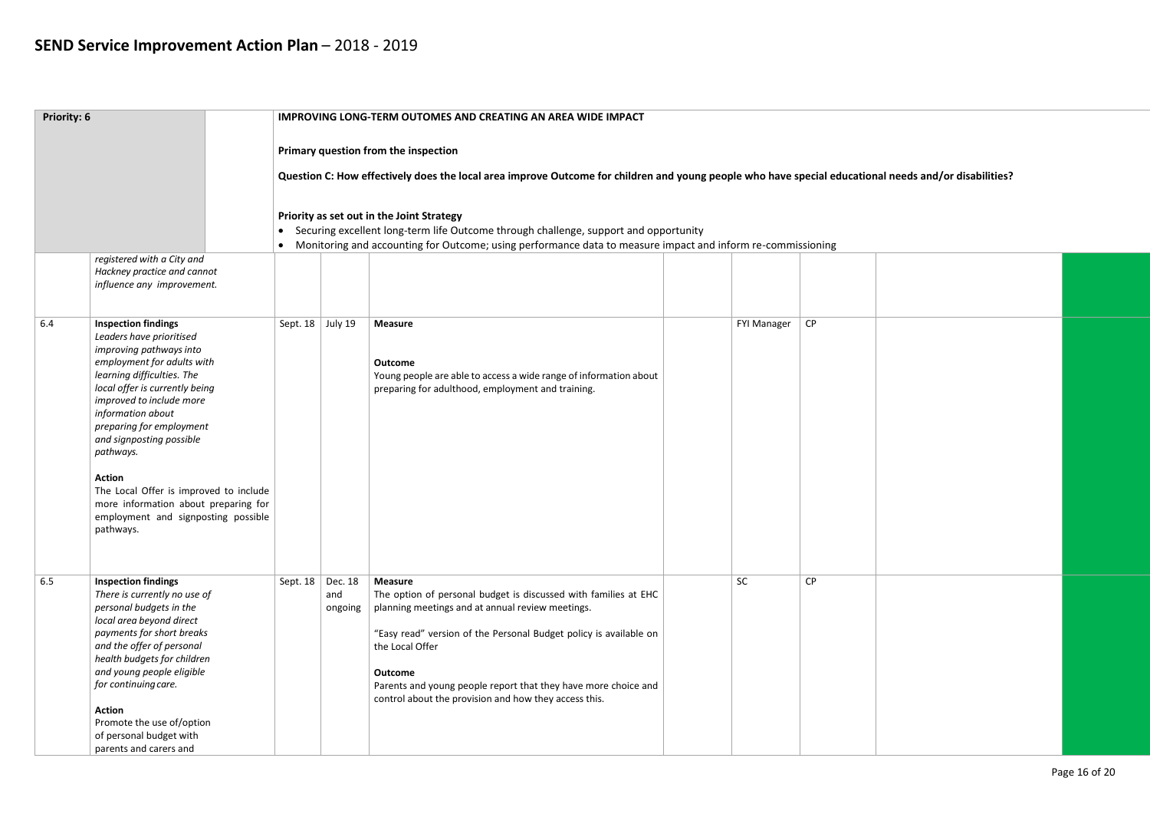| Priority: 6 |                                                                                                                                                                                                                                                                                                                                                                                                                                                              |                                                                                                                                                                                                                                                                 |                                        | <b>IMPROVING LONG-TERM OUTOMES AND CREATING AN AREA WIDE IMPACT</b>                                                                                                                                                                                                                                                                                                        |                    |    |  |  |  |  |
|-------------|--------------------------------------------------------------------------------------------------------------------------------------------------------------------------------------------------------------------------------------------------------------------------------------------------------------------------------------------------------------------------------------------------------------------------------------------------------------|-----------------------------------------------------------------------------------------------------------------------------------------------------------------------------------------------------------------------------------------------------------------|----------------------------------------|----------------------------------------------------------------------------------------------------------------------------------------------------------------------------------------------------------------------------------------------------------------------------------------------------------------------------------------------------------------------------|--------------------|----|--|--|--|--|
|             |                                                                                                                                                                                                                                                                                                                                                                                                                                                              |                                                                                                                                                                                                                                                                 |                                        | Primary question from the inspection<br>Question C: How effectively does the local area improve Outcome for children and young people who have special educational needs and/or disabilities?                                                                                                                                                                              |                    |    |  |  |  |  |
|             | registered with a City and<br>Hackney practice and cannot<br>influence any improvement.                                                                                                                                                                                                                                                                                                                                                                      | Priority as set out in the Joint Strategy<br>Securing excellent long-term life Outcome through challenge, support and opportunity<br>$\bullet$<br>• Monitoring and accounting for Outcome; using performance data to measure impact and inform re-commissioning |                                        |                                                                                                                                                                                                                                                                                                                                                                            |                    |    |  |  |  |  |
|             |                                                                                                                                                                                                                                                                                                                                                                                                                                                              |                                                                                                                                                                                                                                                                 |                                        |                                                                                                                                                                                                                                                                                                                                                                            |                    |    |  |  |  |  |
| 6.4         | <b>Inspection findings</b><br>Leaders have prioritised<br>improving pathways into<br>employment for adults with<br>learning difficulties. The<br>local offer is currently being<br>improved to include more<br>information about<br>preparing for employment<br>and signposting possible<br>pathways.<br><b>Action</b><br>The Local Offer is improved to include<br>more information about preparing for<br>employment and signposting possible<br>pathways. | Sept. $18$ July 19                                                                                                                                                                                                                                              |                                        | <b>Measure</b><br><b>Outcome</b><br>Young people are able to access a wide range of information about<br>preparing for adulthood, employment and training.                                                                                                                                                                                                                 | <b>FYI Manager</b> | CP |  |  |  |  |
| 6.5         | <b>Inspection findings</b><br>There is currently no use of<br>personal budgets in the<br>local area beyond direct<br>payments for short breaks<br>and the offer of personal<br>health budgets for children<br>and young people eligible<br>for continuing care.<br><b>Action</b><br>Promote the use of/option<br>of personal budget with<br>parents and carers and                                                                                           |                                                                                                                                                                                                                                                                 | Sept. $18$ Dec. $18$<br>and<br>ongoing | <b>Measure</b><br>The option of personal budget is discussed with families at EHC<br>planning meetings and at annual review meetings.<br>"Easy read" version of the Personal Budget policy is available on<br>the Local Offer<br><b>Outcome</b><br>Parents and young people report that they have more choice and<br>control about the provision and how they access this. | <b>SC</b>          | CP |  |  |  |  |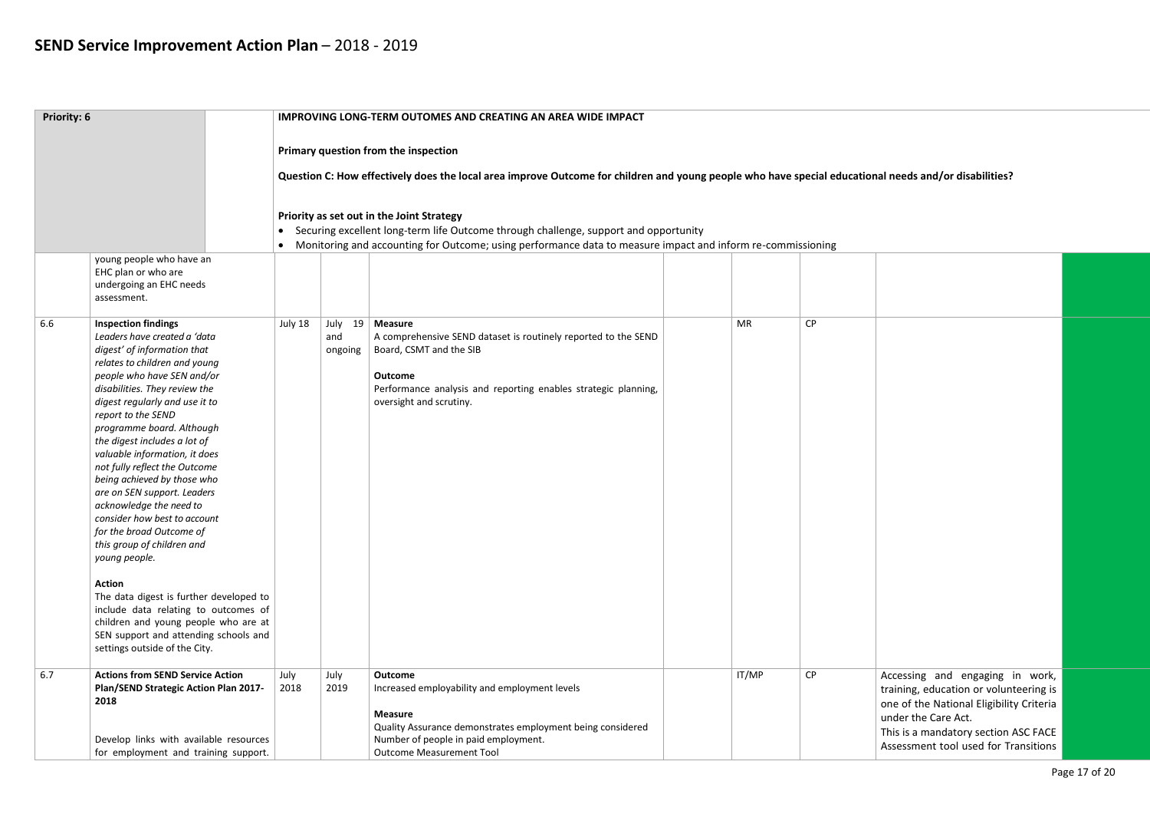| Priority: 6 |                                                                                                                                                                                                                                                                                                                                                                                                                                                                                                                                                                                                                                                                                                                                                                                                            |              |                | <b>IMPROVING LONG-TERM OUTOMES AND CREATING AN AREA WIDE IMPACT</b>                                                                                                                                                                                |           |    |                                                                                                                                                                                                                              |  |
|-------------|------------------------------------------------------------------------------------------------------------------------------------------------------------------------------------------------------------------------------------------------------------------------------------------------------------------------------------------------------------------------------------------------------------------------------------------------------------------------------------------------------------------------------------------------------------------------------------------------------------------------------------------------------------------------------------------------------------------------------------------------------------------------------------------------------------|--------------|----------------|----------------------------------------------------------------------------------------------------------------------------------------------------------------------------------------------------------------------------------------------------|-----------|----|------------------------------------------------------------------------------------------------------------------------------------------------------------------------------------------------------------------------------|--|
|             |                                                                                                                                                                                                                                                                                                                                                                                                                                                                                                                                                                                                                                                                                                                                                                                                            |              |                | Primary question from the inspection<br>Question C: How effectively does the local area improve Outcome for children and young people who have special educational needs and/or disabilities?                                                      |           |    |                                                                                                                                                                                                                              |  |
|             |                                                                                                                                                                                                                                                                                                                                                                                                                                                                                                                                                                                                                                                                                                                                                                                                            | $\bullet$    |                | Priority as set out in the Joint Strategy<br>Securing excellent long-term life Outcome through challenge, support and opportunity<br>• Monitoring and accounting for Outcome; using performance data to measure impact and inform re-commissioning |           |    |                                                                                                                                                                                                                              |  |
|             | young people who have an<br>EHC plan or who are<br>undergoing an EHC needs<br>assessment.                                                                                                                                                                                                                                                                                                                                                                                                                                                                                                                                                                                                                                                                                                                  |              |                |                                                                                                                                                                                                                                                    |           |    |                                                                                                                                                                                                                              |  |
| 6.6         | <b>Inspection findings</b><br>Leaders have created a 'data<br>digest' of information that<br>relates to children and young<br>people who have SEN and/or<br>disabilities. They review the<br>digest regularly and use it to<br>report to the SEND<br>programme board. Although<br>the digest includes a lot of<br>valuable information, it does<br>not fully reflect the Outcome<br>being achieved by those who<br>are on SEN support. Leaders<br>acknowledge the need to<br>consider how best to account<br>for the broad Outcome of<br>this group of children and<br>young people.<br><b>Action</b><br>The data digest is further developed to<br>include data relating to outcomes of<br>children and young people who are at<br>SEN support and attending schools and<br>settings outside of the City. | July 18      | and<br>ongoing | July 19   Measure<br>A comprehensive SEND dataset is routinely reported to the SEND<br>Board, CSMT and the SIB<br><b>Outcome</b><br>Performance analysis and reporting enables strategic planning,<br>oversight and scrutiny.                      | <b>MR</b> | CP |                                                                                                                                                                                                                              |  |
| 6.7         | <b>Actions from SEND Service Action</b><br>Plan/SEND Strategic Action Plan 2017-<br>2018<br>Develop links with available resources<br>for employment and training support.                                                                                                                                                                                                                                                                                                                                                                                                                                                                                                                                                                                                                                 | July<br>2018 | July<br>2019   | <b>Outcome</b><br>Increased employability and employment levels<br><b>Measure</b><br>Quality Assurance demonstrates employment being considered<br>Number of people in paid employment.<br><b>Outcome Measurement Tool</b>                         | IT/MP     | CP | Accessing and engaging in work,<br>training, education or volunteering is<br>one of the National Eligibility Criteria<br>under the Care Act.<br>This is a mandatory section ASC FACE<br>Assessment tool used for Transitions |  |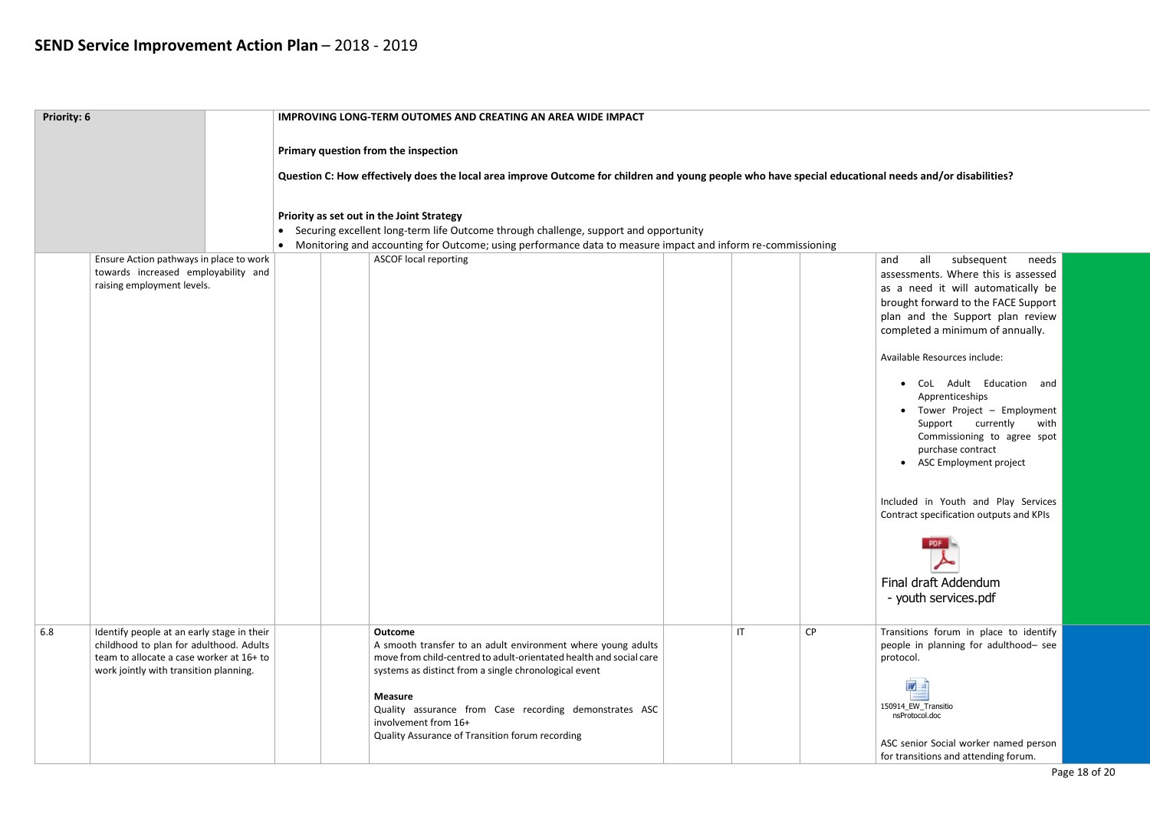and all subsequent needs assessments. Where this is assessed as a need it will automatically be brought forward to the FACE Support plan and the Support plan review completed a minimum of annually.

| Priority: 6 |                                                                                                                                                                             |           | <b>IMPROVING LONG-TERM OUTOMES AND CREATING AN AREA WIDE IMPACT</b>                                                                                                                                           |              |           |
|-------------|-----------------------------------------------------------------------------------------------------------------------------------------------------------------------------|-----------|---------------------------------------------------------------------------------------------------------------------------------------------------------------------------------------------------------------|--------------|-----------|
|             |                                                                                                                                                                             |           | Primary question from the inspection                                                                                                                                                                          |              |           |
|             |                                                                                                                                                                             |           | Question C: How effectively does the local area improve Outcome for children and young people who have special educat                                                                                         |              |           |
|             |                                                                                                                                                                             |           |                                                                                                                                                                                                               |              |           |
|             |                                                                                                                                                                             | $\bullet$ | Priority as set out in the Joint Strategy<br>Securing excellent long-term life Outcome through challenge, support and opportunity                                                                             |              |           |
|             |                                                                                                                                                                             | $\bullet$ | Monitoring and accounting for Outcome; using performance data to measure impact and inform re-commissioning                                                                                                   |              |           |
|             | Ensure Action pathways in place to work<br>towards increased employability and<br>raising employment levels.                                                                |           | <b>ASCOF local reporting</b>                                                                                                                                                                                  |              |           |
|             |                                                                                                                                                                             |           |                                                                                                                                                                                                               |              |           |
|             |                                                                                                                                                                             |           |                                                                                                                                                                                                               |              |           |
|             |                                                                                                                                                                             |           |                                                                                                                                                                                                               |              |           |
|             |                                                                                                                                                                             |           |                                                                                                                                                                                                               |              |           |
|             |                                                                                                                                                                             |           |                                                                                                                                                                                                               |              |           |
|             |                                                                                                                                                                             |           |                                                                                                                                                                                                               |              |           |
|             |                                                                                                                                                                             |           |                                                                                                                                                                                                               |              |           |
|             |                                                                                                                                                                             |           |                                                                                                                                                                                                               |              |           |
|             |                                                                                                                                                                             |           |                                                                                                                                                                                                               |              |           |
|             |                                                                                                                                                                             |           |                                                                                                                                                                                                               |              |           |
|             |                                                                                                                                                                             |           |                                                                                                                                                                                                               |              |           |
| 6.8         | Identify people at an early stage in their<br>childhood to plan for adulthood. Adults<br>team to allocate a case worker at 16+ to<br>work jointly with transition planning. |           | <b>Outcome</b><br>A smooth transfer to an adult environment where young adults<br>move from child-centred to adult-orientated health and social care<br>systems as distinct from a single chronological event | $\mathsf{I}$ | <b>CP</b> |
|             |                                                                                                                                                                             |           | <b>Measure</b><br>Quality assurance from Case recording demonstrates ASC<br>involvement from 16+<br>Quality Assurance of Transition forum recording                                                           |              |           |
|             |                                                                                                                                                                             |           |                                                                                                                                                                                                               |              |           |

### tional needs and/or disabilities?

Transitions forum in place to identify people in planning for adulthood– see protocol.

Available Resources include:

 $\overline{\omega}$ 150914\_EW\_Transitio nsProtocol.doc

- CoL Adult Education and Apprenticeships
- Tower Project Employment Support currently with Commissioning to agree spot purchase contract
- ASC Employment project

Included in Youth and Play Services Contract specification outputs and KPIs



### Final draft Addendum - youth services.pdf

ASC senior Social worker named person for transitions and attending forum.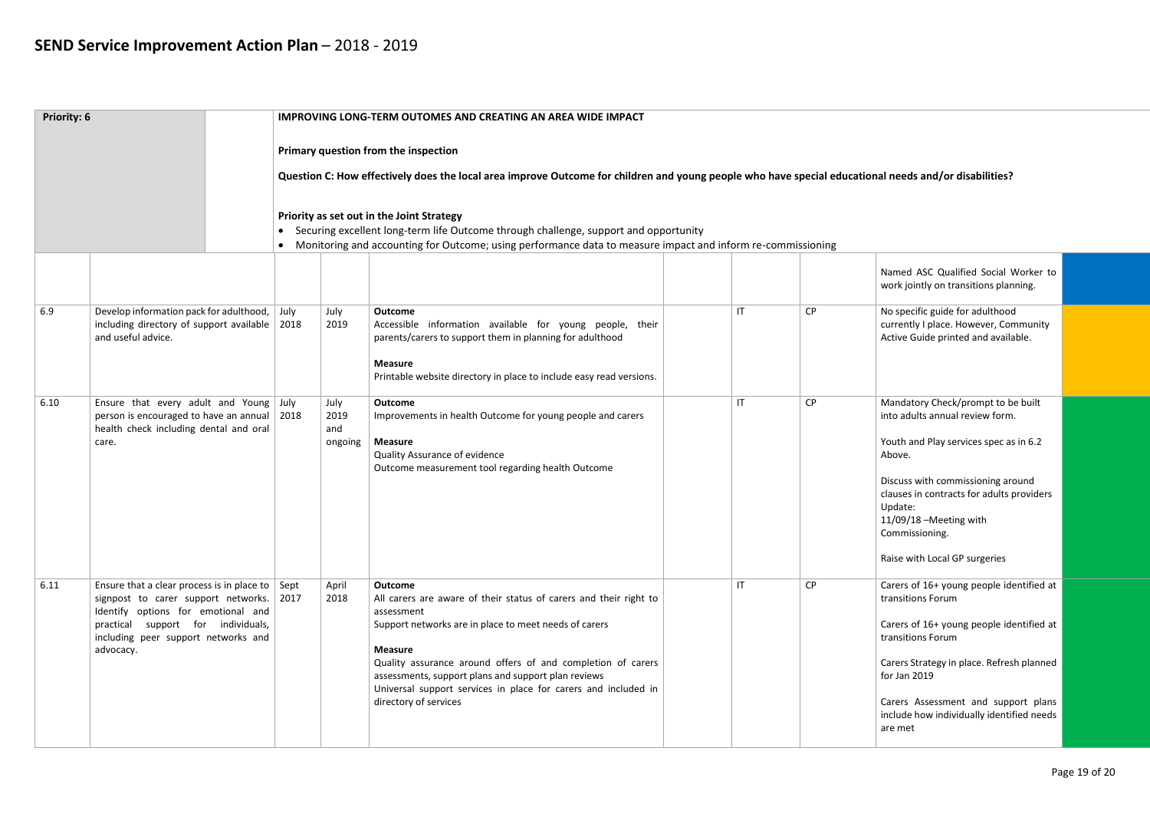| Priority: 6 |                                                                                                                                                                                                                                |      |                                | <b>IMPROVING LONG-TERM OUTOMES AND CREATING AN AREA WIDE IMPACT</b>                                                                                                                                                                                                                                                                                                                                                                               |                        |    |                                                                                                                                                                                                                                                                                                      |  |
|-------------|--------------------------------------------------------------------------------------------------------------------------------------------------------------------------------------------------------------------------------|------|--------------------------------|---------------------------------------------------------------------------------------------------------------------------------------------------------------------------------------------------------------------------------------------------------------------------------------------------------------------------------------------------------------------------------------------------------------------------------------------------|------------------------|----|------------------------------------------------------------------------------------------------------------------------------------------------------------------------------------------------------------------------------------------------------------------------------------------------------|--|
|             |                                                                                                                                                                                                                                |      |                                | Primary question from the inspection<br>Question C: How effectively does the local area improve Outcome for children and young people who have special educational needs and/or disabilities?<br>Priority as set out in the Joint Strategy<br>Securing excellent long-term life Outcome through challenge, support and opportunity<br>Monitoring and accounting for Outcome; using performance data to measure impact and inform re-commissioning |                        |    |                                                                                                                                                                                                                                                                                                      |  |
| 6.9         | Develop information pack for adulthood,<br>including directory of support available $\vert$ 2018<br>and useful advice.                                                                                                         | July | July<br>2019                   | Outcome<br>Accessible information available for young people, their<br>parents/carers to support them in planning for adulthood<br><b>Measure</b><br>Printable website directory in place to include easy read versions.                                                                                                                                                                                                                          | $\mathsf{I}\mathsf{T}$ | CP | Named ASC Qualified Social Worker to<br>work jointly on transitions planning.<br>No specific guide for adulthood<br>currently I place. However, Community<br>Active Guide printed and available.                                                                                                     |  |
| 6.10        | Ensure that every adult and Young July<br>person is encouraged to have an annual   2018<br>health check including dental and oral<br>care.                                                                                     |      | July<br>2019<br>and<br>ongoing | Outcome<br>Improvements in health Outcome for young people and carers<br><b>Measure</b><br>Quality Assurance of evidence<br>Outcome measurement tool regarding health Outcome                                                                                                                                                                                                                                                                     | $\mathsf{I}\mathsf{T}$ | CP | Mandatory Check/prompt to be built<br>into adults annual review form.<br>Youth and Play services spec as in 6.2<br>Above.<br>Discuss with commissioning around<br>clauses in contracts for adults providers<br>Update:<br>11/09/18 - Meeting with<br>Commissioning.<br>Raise with Local GP surgeries |  |
| 6.11        | Ensure that a clear process is in place to $\vert$ Sept<br>signpost to carer support networks.<br>Identify options for emotional and<br>practical support for individuals,<br>including peer support networks and<br>advocacy. | 2017 | April<br>2018                  | <b>Outcome</b><br>All carers are aware of their status of carers and their right to<br>assessment<br>Support networks are in place to meet needs of carers<br><b>Measure</b><br>Quality assurance around offers of and completion of carers<br>assessments, support plans and support plan reviews<br>Universal support services in place for carers and included in<br>directory of services                                                     | $\mathsf{I}$           | CP | Carers of 16+ young people identified at<br>transitions Forum<br>Carers of 16+ young people identified at<br>transitions Forum<br>Carers Strategy in place. Refresh planned<br>for Jan 2019<br>Carers Assessment and support plans<br>include how individually identified needs<br>are met           |  |